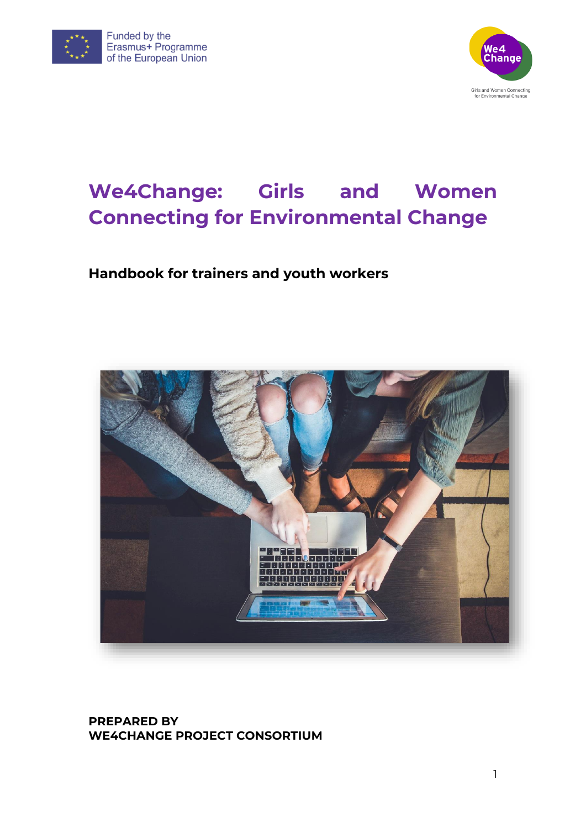



# **We4Change: Girls and Women Connecting for Environmental Change**

## **Handbook for trainers and youth workers**



### **PREPARED BY WE4CHANGE PROJECT CONSORTIUM**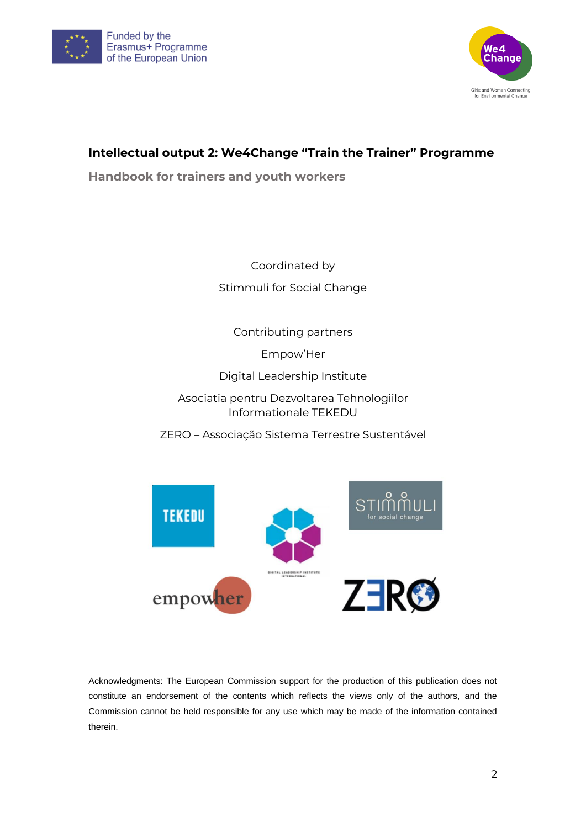



## **Intellectual output 2: We4Change "Train the Trainer" Programme**

**Handbook for trainers and youth workers** 

Coordinated by Stimmuli for Social Change

Contributing partners

Empow'Her

Digital Leadership Institute

Asociatia pentru Dezvoltarea Tehnologiilor Informationale TEKEDU

ZERO – Associação Sistema Terrestre Sustentável



Acknowledgments: The European Commission support for the production of this publication does not constitute an endorsement of the contents which reflects the views only of the authors, and the Commission cannot be held responsible for any use which may be made of the information contained therein.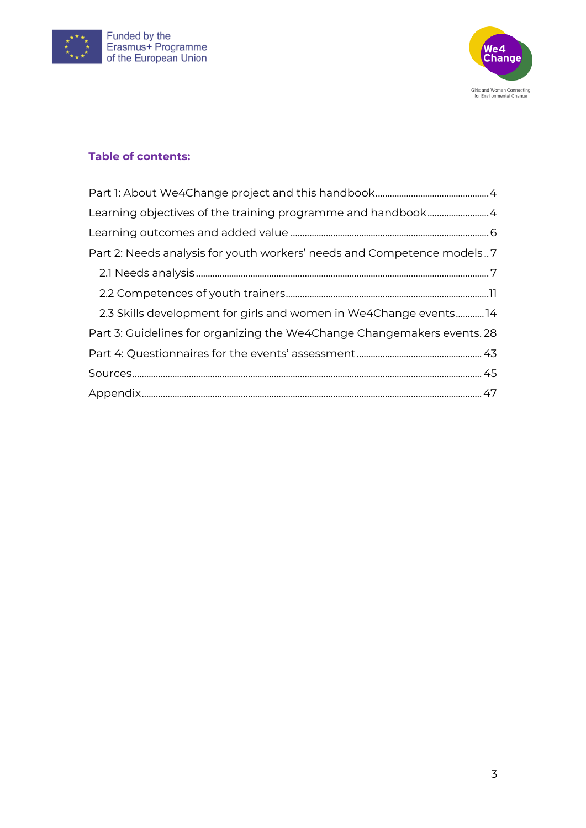



#### **Table of contents:**

| Part 2: Needs analysis for youth workers' needs and Competence models7  |
|-------------------------------------------------------------------------|
|                                                                         |
|                                                                         |
| 2.3 Skills development for girls and women in We4Change events14        |
| Part 3: Guidelines for organizing the We4Change Changemakers events. 28 |
|                                                                         |
|                                                                         |
|                                                                         |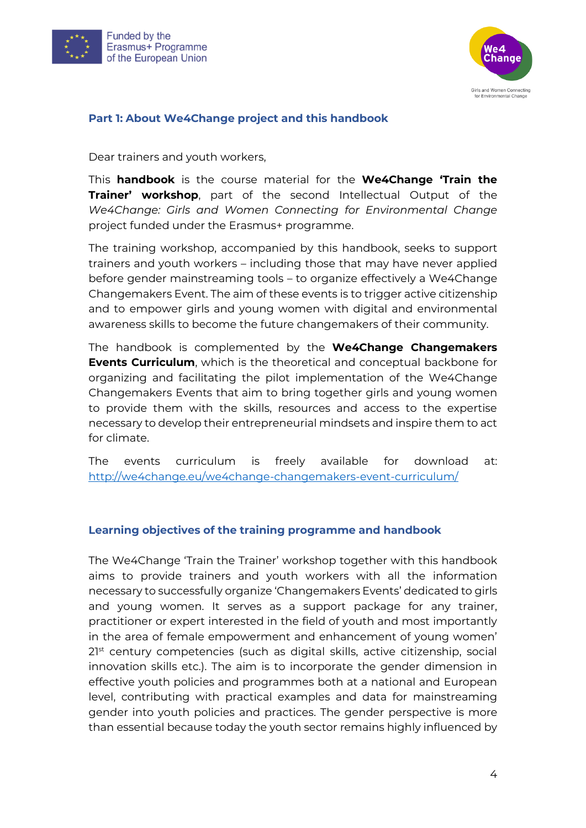



#### <span id="page-3-0"></span>**Part 1: About We4Change project and this handbook**

Dear trainers and youth workers,

This **handbook** is the course material for the **We4Change 'Train the Trainer' workshop**, part of the second Intellectual Output of the *We4Change: Girls and Women Connecting for Environmental Change* project funded under the Erasmus+ programme.

The training workshop, accompanied by this handbook, seeks to support trainers and youth workers – including those that may have never applied before gender mainstreaming tools – to organize effectively a We4Change Changemakers Event. The aim of these events is to trigger active citizenship and to empower girls and young women with digital and environmental awareness skills to become the future changemakers of their community.

The handbook is complemented by the **We4Change Changemakers Events Curriculum**, which is the theoretical and conceptual backbone for organizing and facilitating the pilot implementation of the We4Change Changemakers Events that aim to bring together girls and young women to provide them with the skills, resources and access to the expertise necessary to develop their entrepreneurial mindsets and inspire them to act for climate.

The events curriculum is freely available for download at: <http://we4change.eu/we4change-changemakers-event-curriculum/>

#### <span id="page-3-1"></span>**Learning objectives of the training programme and handbook**

The We4Change 'Train the Trainer' workshop together with this handbook aims to provide trainers and youth workers with all the information necessary to successfully organize 'Changemakers Events' dedicated to girls and young women. It serves as a support package for any trainer, practitioner or expert interested in the field of youth and most importantly in the area of female empowerment and enhancement of young women' 2<sup>1st</sup> century competencies (such as digital skills, active citizenship, social innovation skills etc.). The aim is to incorporate the gender dimension in effective youth policies and programmes both at a national and European level, contributing with practical examples and data for mainstreaming gender into youth policies and practices. The gender perspective is more than essential because today the youth sector remains highly influenced by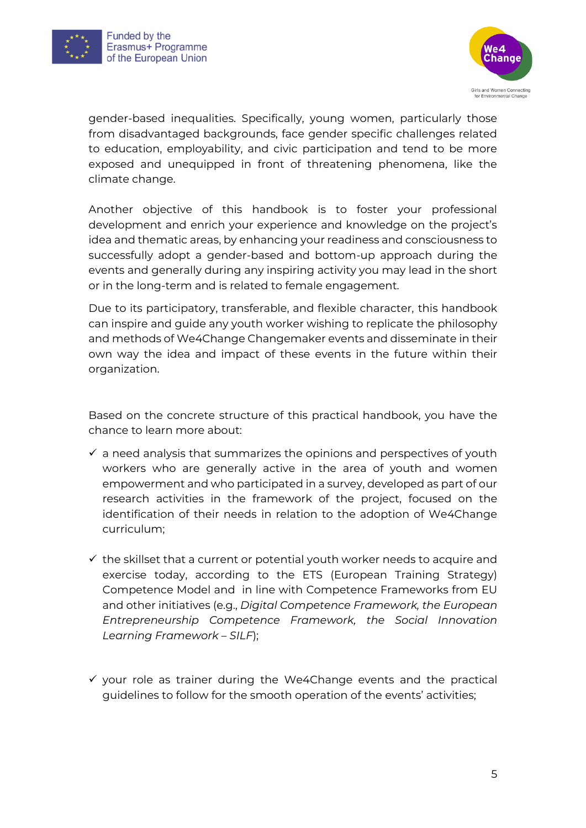



gender-based inequalities. Specifically, young women, particularly those from disadvantaged backgrounds, face gender specific challenges related to education, employability, and civic participation and tend to be more exposed and unequipped in front of threatening phenomena, like the climate change.

Another objective of this handbook is to foster your professional development and enrich your experience and knowledge on the project's idea and thematic areas, by enhancing your readiness and consciousness to successfully adopt a gender-based and bottom-up approach during the events and generally during any inspiring activity you may lead in the short or in the long-term and is related to female engagement.

Due to its participatory, transferable, and flexible character, this handbook can inspire and guide any youth worker wishing to replicate the philosophy and methods of We4Change Changemaker events and disseminate in their own way the idea and impact of these events in the future within their organization.

Based on the concrete structure of this practical handbook, you have the chance to learn more about:

- $\checkmark$  a need analysis that summarizes the opinions and perspectives of youth workers who are generally active in the area of youth and women empowerment and who participated in a survey, developed as part of our research activities in the framework of the project, focused on the identification of their needs in relation to the adoption of We4Change curriculum;
- $\checkmark$  the skillset that a current or potential youth worker needs to acquire and exercise today, according to the ETS (European Training Strategy) Competence Model and in line with Competence Frameworks from EU and other initiatives (e.g., *Digital Competence Framework, the European Entrepreneurship Competence Framework, the Social Innovation Learning Framework – SILF*);
- $\checkmark$  your role as trainer during the We4Change events and the practical guidelines to follow for the smooth operation of the events' activities;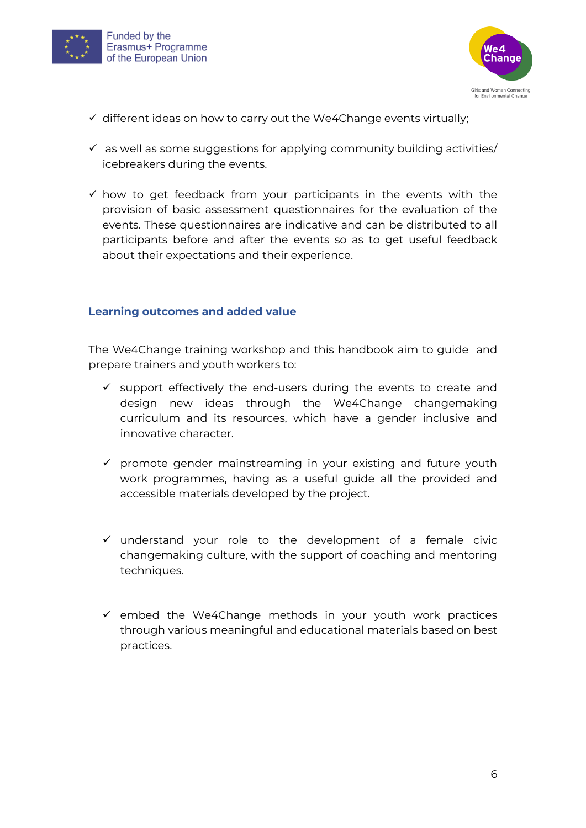



- ✓ different ideas on how to carry out the We4Change events virtually;
- $\checkmark$  as well as some suggestions for applying community building activities/ icebreakers during the events.
- $\checkmark$  how to get feedback from your participants in the events with the provision of basic assessment questionnaires for the evaluation of the events. These questionnaires are indicative and can be distributed to all participants before and after the events so as to get useful feedback about their expectations and their experience.

#### <span id="page-5-0"></span>**Learning outcomes and added value**

The We4Change training workshop and this handbook aim to guide and prepare trainers and youth workers to:

- $\checkmark$  support effectively the end-users during the events to create and design new ideas through the We4Change changemaking curriculum and its resources, which have a gender inclusive and innovative character.
- ✓ promote gender mainstreaming in your existing and future youth work programmes, having as a useful guide all the provided and accessible materials developed by the project.
- ✓ understand your role to the development of a female civic changemaking culture, with the support of coaching and mentoring techniques.
- $\checkmark$  embed the We4Change methods in your youth work practices through various meaningful and educational materials based on best practices.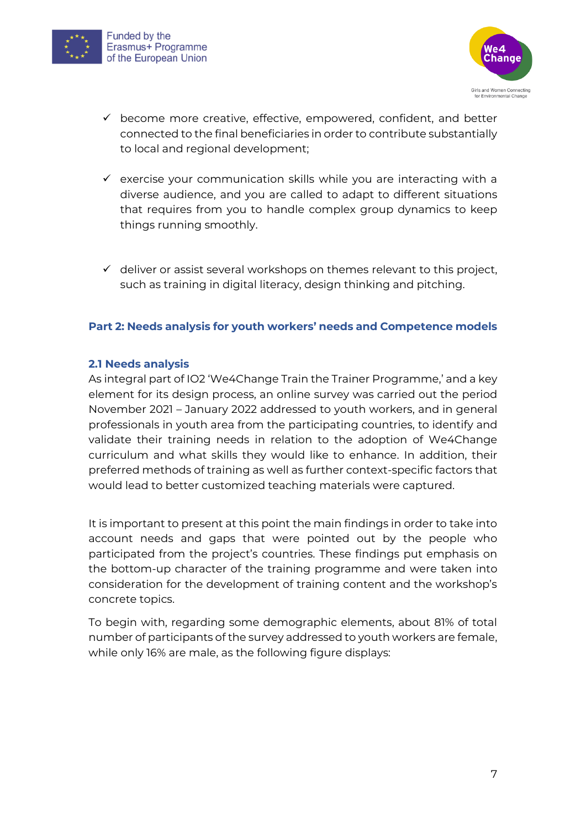



- $\checkmark$  become more creative, effective, empowered, confident, and better connected to the final beneficiaries in order to contribute substantially to local and regional development;
- $\checkmark$  exercise your communication skills while you are interacting with a diverse audience, and you are called to adapt to different situations that requires from you to handle complex group dynamics to keep things running smoothly.
- $\checkmark$  deliver or assist several workshops on themes relevant to this project, such as training in digital literacy, design thinking and pitching.

#### <span id="page-6-0"></span>**Part 2: Needs analysis for youth workers' needs and Competence models**

#### <span id="page-6-1"></span>**2.1 Needs analysis**

As integral part of IO2 'We4Change Train the Trainer Programme,' and a key element for its design process, an online survey was carried out the period November 2021 – January 2022 addressed to youth workers, and in general professionals in youth area from the participating countries, to identify and validate their training needs in relation to the adoption of We4Change curriculum and what skills they would like to enhance. In addition, their preferred methods of training as well as further context-specific factors that would lead to better customized teaching materials were captured.

It is important to present at this point the main findings in order to take into account needs and gaps that were pointed out by the people who participated from the project's countries. These findings put emphasis on the bottom-up character of the training programme and were taken into consideration for the development of training content and the workshop's concrete topics.

To begin with, regarding some demographic elements, about 81% of total number of participants of the survey addressed to youth workers are female, while only 16% are male, as the following figure displays: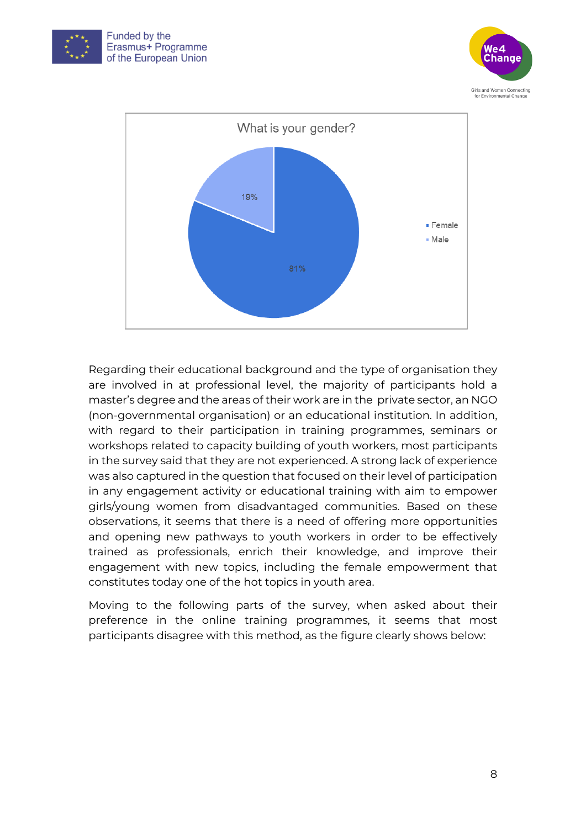





Regarding their educational background and the type of organisation they are involved in at professional level, the majority of participants hold a master's degree and the areas of their work are in the private sector, an NGO (non-governmental organisation) or an educational institution. In addition, with regard to their participation in training programmes, seminars or workshops related to capacity building of youth workers, most participants in the survey said that they are not experienced. A strong lack of experience was also captured in the question that focused on their level of participation in any engagement activity or educational training with aim to empower girls/young women from disadvantaged communities. Based on these observations, it seems that there is a need of offering more opportunities and opening new pathways to youth workers in order to be effectively trained as professionals, enrich their knowledge, and improve their engagement with new topics, including the female empowerment that constitutes today one of the hot topics in youth area.

Moving to the following parts of the survey, when asked about their preference in the online training programmes, it seems that most participants disagree with this method, as the figure clearly shows below: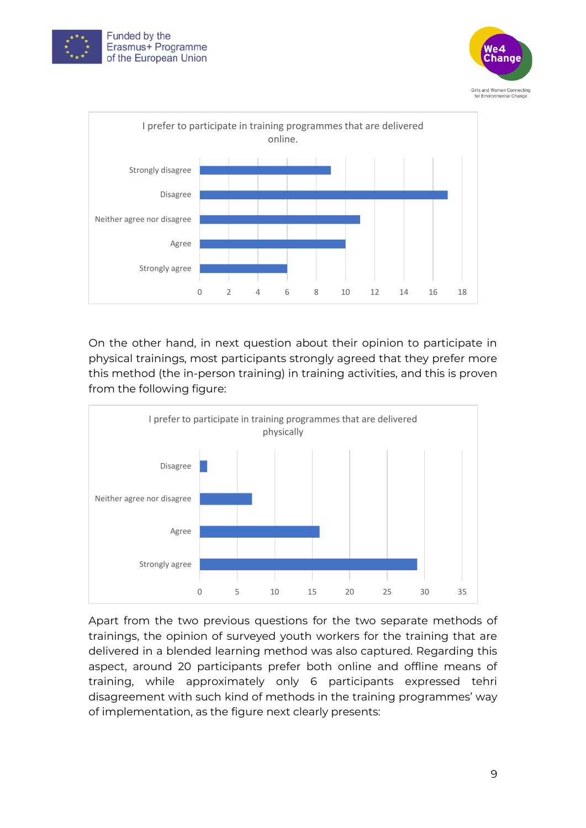





On the other hand, in next question about their opinion to participate in physical trainings, most participants strongly agreed that they prefer more this method (the in-person training) in training activities, and this is proven from the following figure:



Apart from the two previous questions for the two separate methods of trainings, the opinion of surveyed youth workers for the training that are delivered in a blended learning method was also captured. Regarding this aspect, around 20 participants prefer both online and offline means of training, while approximately only 6 participants expressed tehri disagreement with such kind of methods in the training programmes' way of implementation, as the figure next clearly presents: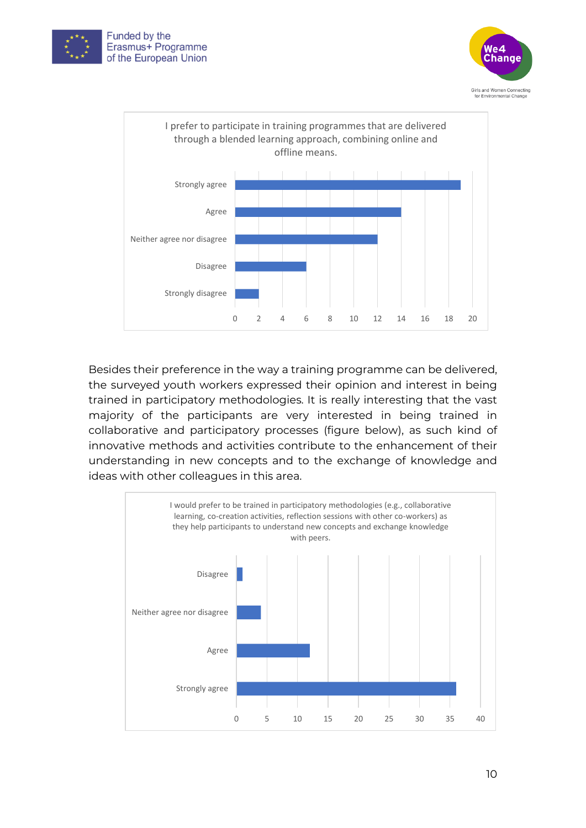





Besides their preference in the way a training programme can be delivered, the surveyed youth workers expressed their opinion and interest in being trained in participatory methodologies. It is really interesting that the vast majority of the participants are very interested in being trained in collaborative and participatory processes (figure below), as such kind of innovative methods and activities contribute to the enhancement of their understanding in new concepts and to the exchange of knowledge and ideas with other colleagues in this area.

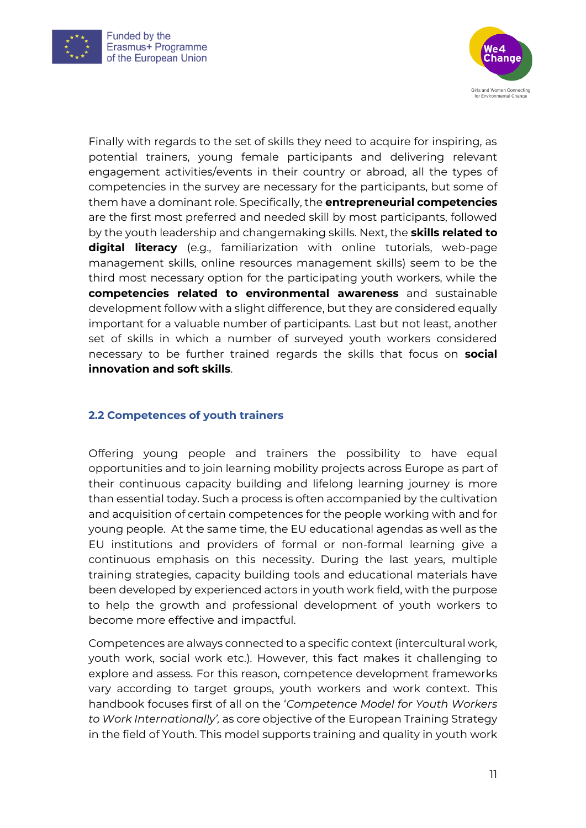



Finally with regards to the set of skills they need to acquire for inspiring, as potential trainers, young female participants and delivering relevant engagement activities/events in their country or abroad, all the types of competencies in the survey are necessary for the participants, but some of them have a dominant role. Specifically, the **entrepreneurial competencies** are the first most preferred and needed skill by most participants, followed by the youth leadership and changemaking skills. Next, the **skills related to digital literacy** (e.g., familiarization with online tutorials, web-page management skills, online resources management skills) seem to be the third most necessary option for the participating youth workers, while the **competencies related to environmental awareness** and sustainable development follow with a slight difference, but they are considered equally important for a valuable number of participants. Last but not least, another set of skills in which a number of surveyed youth workers considered necessary to be further trained regards the skills that focus on **social innovation and soft skills**.

#### <span id="page-10-0"></span>**2.2 Competences of youth trainers**

Offering young people and trainers the possibility to have equal opportunities and to join learning mobility projects across Europe as part of their continuous capacity building and lifelong learning journey is more than essential today. Such a process is often accompanied by the cultivation and acquisition of certain competences for the people working with and for young people. At the same time, the EU educational agendas as well as the EU institutions and providers of formal or non-formal learning give a continuous emphasis on this necessity. During the last years, multiple training strategies, capacity building tools and educational materials have been developed by experienced actors in youth work field, with the purpose to help the growth and professional development of youth workers to become more effective and impactful.

Competences are always connected to a specific context (intercultural work, youth work, social work etc.). However, this fact makes it challenging to explore and assess. For this reason, competence development frameworks vary according to target groups, youth workers and work context. This handbook focuses first of all on the '*Competence Model for Youth Workers to Work Internationally',* as core objective of the European Training Strategy in the field of Youth. This model supports training and quality in youth work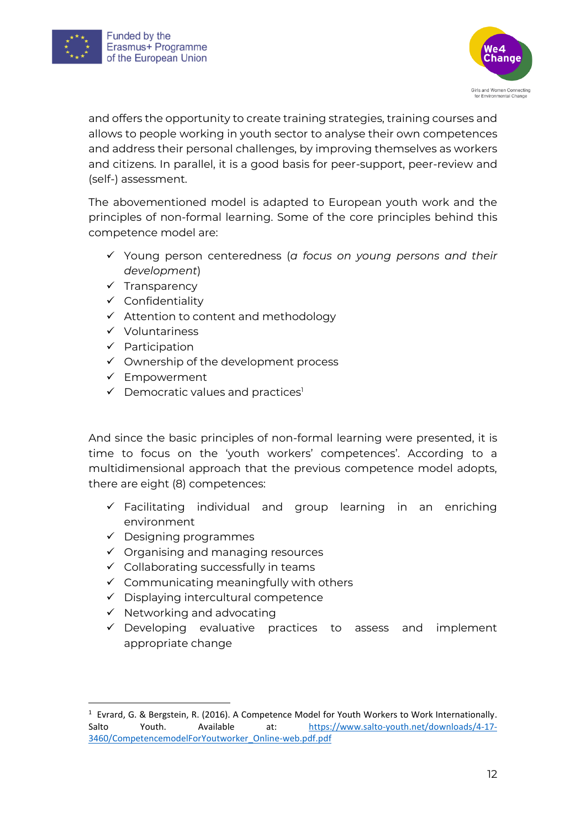



and offers the opportunity to create training strategies, training courses and allows to people working in youth sector to analyse their own competences and address their personal challenges, by improving themselves as workers and citizens. In parallel, it is a good basis for peer-support, peer-review and (self-) assessment.

The abovementioned model is adapted to European youth work and the principles of non-formal learning. Some of the core principles behind this competence model are:

- ✓ Young person centeredness (*a focus on young persons and their development*)
- ✓ Transparency
- ✓ Confidentiality
- ✓ Attention to content and methodology
- ✓ Voluntariness
- ✓ Participation
- $\checkmark$  Ownership of the development process
- $\checkmark$  Empowerment
- $\checkmark$  Democratic values and practices<sup>1</sup>

And since the basic principles of non-formal learning were presented, it is time to focus on the 'youth workers' competences'. According to a multidimensional approach that the previous competence model adopts, there are eight (8) competences:

- $\checkmark$  Facilitating individual and group learning in an enriching environment
- $\checkmark$  Designing programmes
- $\checkmark$  Organising and managing resources
- $\checkmark$  Collaborating successfully in teams
- $\checkmark$  Communicating meaningfully with others
- ✓ Displaying intercultural competence
- ✓ Networking and advocating
- ✓ Developing evaluative practices to assess and implement appropriate change

<sup>&</sup>lt;sup>1</sup> Evrard, G. & Bergstein, R. (2016). A Competence Model for Youth Workers to Work Internationally. Salto Youth. Available at: [https://www.salto-youth.net/downloads/4-17-](https://www.salto-youth.net/downloads/4-17-3460/CompetencemodelForYoutworker_Online-web.pdf.pdf) [3460/CompetencemodelForYoutworker\\_Online-web.pdf.pdf](https://www.salto-youth.net/downloads/4-17-3460/CompetencemodelForYoutworker_Online-web.pdf.pdf)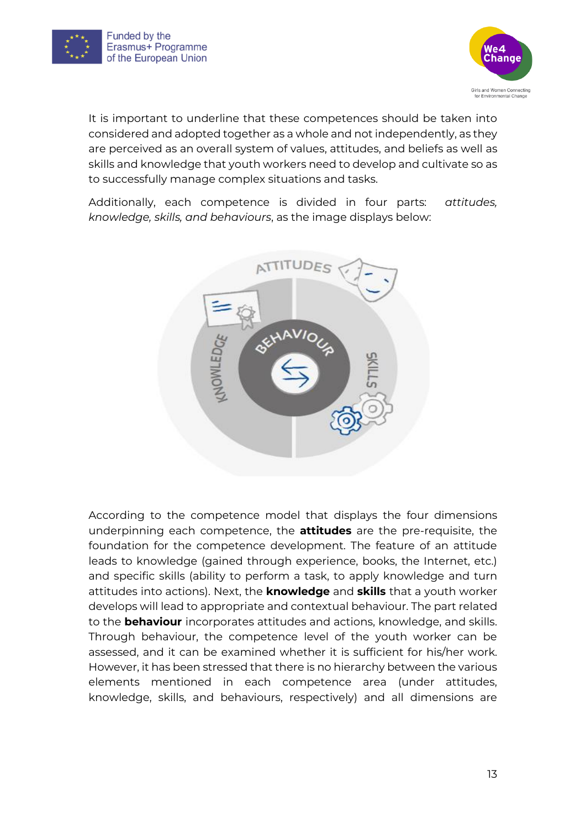



It is important to underline that these competences should be taken into considered and adopted together as a whole and not independently, as they are perceived as an overall system of values, attitudes, and beliefs as well as skills and knowledge that youth workers need to develop and cultivate so as to successfully manage complex situations and tasks.

Additionally, each competence is divided in four parts: *attitudes, knowledge, skills, and behaviours*, as the image displays below:



According to the competence model that displays the four dimensions underpinning each competence, the **attitudes** are the pre-requisite, the foundation for the competence development. The feature of an attitude leads to knowledge (gained through experience, books, the Internet, etc.) and specific skills (ability to perform a task, to apply knowledge and turn attitudes into actions). Next, the **knowledge** and **skills** that a youth worker develops will lead to appropriate and contextual behaviour. The part related to the **behaviour** incorporates attitudes and actions, knowledge, and skills. Through behaviour, the competence level of the youth worker can be assessed, and it can be examined whether it is sufficient for his/her work. However, it has been stressed that there is no hierarchy between the various elements mentioned in each competence area (under attitudes, knowledge, skills, and behaviours, respectively) and all dimensions are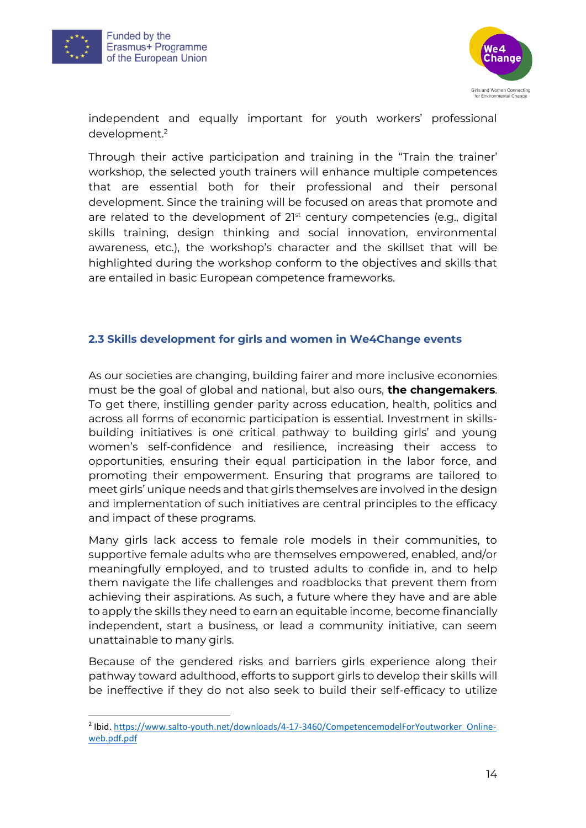



independent and equally important for youth workers' professional development.<sup>2</sup>

Through their active participation and training in the "Train the trainer' workshop, the selected youth trainers will enhance multiple competences that are essential both for their professional and their personal development. Since the training will be focused on areas that promote and are related to the development of 21st century competencies (e.g., digital skills training, design thinking and social innovation, environmental awareness, etc.), the workshop's character and the skillset that will be highlighted during the workshop conform to the objectives and skills that are entailed in basic European competence frameworks.

#### <span id="page-13-0"></span>**2.3 Skills development for girls and women in We4Change events**

As our societies are changing, building fairer and more inclusive economies must be the goal of global and national, but also ours, **the changemakers**. To get there, instilling gender parity across education, health, politics and across all forms of economic participation is essential. Investment in skillsbuilding initiatives is one critical pathway to building girls' and young women's self-confidence and resilience, increasing their access to opportunities, ensuring their equal participation in the labor force, and promoting their empowerment. Ensuring that programs are tailored to meet girls' unique needs and that girls themselves are involved in the design and implementation of such initiatives are central principles to the efficacy and impact of these programs.

Many girls lack access to female role models in their communities, to supportive female adults who are themselves empowered, enabled, and/or meaningfully employed, and to trusted adults to confide in, and to help them navigate the life challenges and roadblocks that prevent them from achieving their aspirations. As such, a future where they have and are able to apply the skills they need to earn an equitable income, become financially independent, start a business, or lead a community initiative, can seem unattainable to many girls.

Because of the gendered risks and barriers girls experience along their pathway toward adulthood, efforts to support girls to develop their skills will be ineffective if they do not also seek to build their self-efficacy to utilize

<sup>&</sup>lt;sup>2</sup> Ibid[. https://www.salto-youth.net/downloads/4-17-3460/CompetencemodelForYoutworker\\_Online](https://www.salto-youth.net/downloads/4-17-3460/CompetencemodelForYoutworker_Online-web.pdf.pdf)[web.pdf.pdf](https://www.salto-youth.net/downloads/4-17-3460/CompetencemodelForYoutworker_Online-web.pdf.pdf)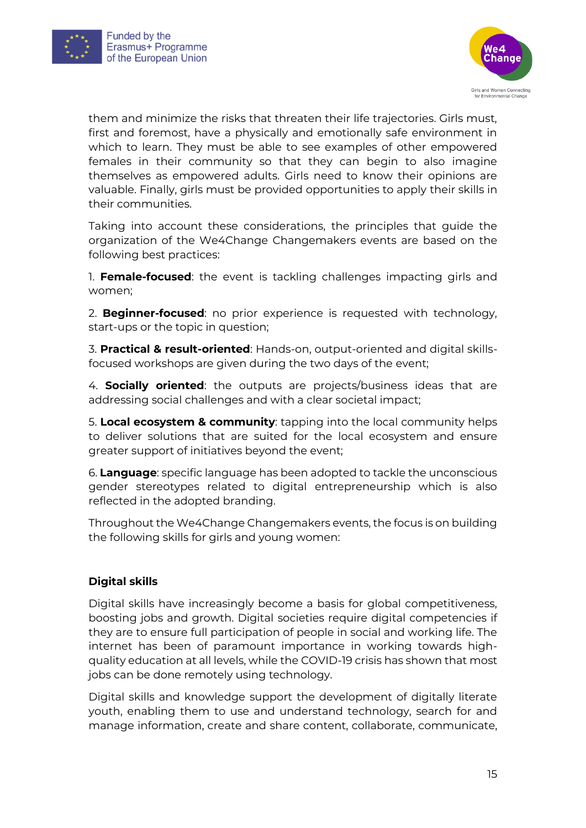



them and minimize the risks that threaten their life trajectories. Girls must, first and foremost, have a physically and emotionally safe environment in which to learn. They must be able to see examples of other empowered females in their community so that they can begin to also imagine themselves as empowered adults. Girls need to know their opinions are valuable. Finally, girls must be provided opportunities to apply their skills in their communities.

Taking into account these considerations, the principles that guide the organization of the We4Change Changemakers events are based on the following best practices:

1. **Female-focused**: the event is tackling challenges impacting girls and women;

2. **Beginner-focused**: no prior experience is requested with technology, start-ups or the topic in question;

3. **Practical & result-oriented**: Hands-on, output-oriented and digital skillsfocused workshops are given during the two days of the event;

4. **Socially oriented**: the outputs are projects/business ideas that are addressing social challenges and with a clear societal impact;

5. **Local ecosystem & community**: tapping into the local community helps to deliver solutions that are suited for the local ecosystem and ensure greater support of initiatives beyond the event;

6. **Language**: specific language has been adopted to tackle the unconscious gender stereotypes related to digital entrepreneurship which is also reflected in the adopted branding.

Throughout the We4Change Changemakers events, the focus is on building the following skills for girls and young women:

#### **Digital skills**

Digital skills have increasingly become a basis for global competitiveness, boosting jobs and growth. Digital societies require digital competencies if they are to ensure full participation of people in social and working life. The internet has been of paramount importance in working towards highquality education at all levels, while the COVID-19 crisis has shown that most jobs can be done remotely using technology.

Digital skills and knowledge support the development of digitally literate youth, enabling them to use and understand technology, search for and manage information, create and share content, collaborate, communicate,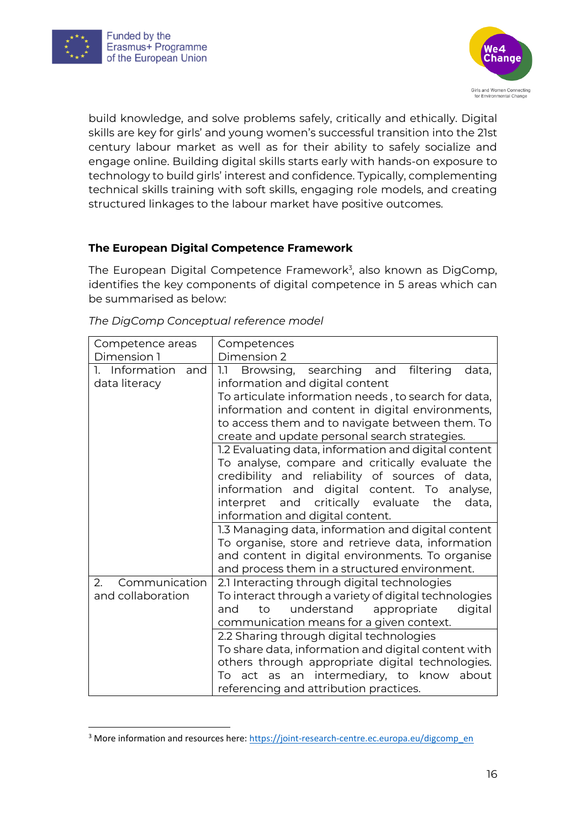



build knowledge, and solve problems safely, critically and ethically. Digital skills are key for girls' and young women's successful transition into the 21st century labour market as well as for their ability to safely socialize and engage online. Building digital skills starts early with hands-on exposure to technology to build girls' interest and confidence. Typically, complementing technical skills training with soft skills, engaging role models, and creating structured linkages to the labour market have positive outcomes.

#### **The European Digital Competence Framework**

The European Digital Competence Framework<sup>3</sup>, also known as DigComp, identifies the key components of digital competence in 5 areas which can be summarised as below:

| Competence areas<br>Dimension 1        | Competences<br>Dimension 2                                                                                                                                  |  |  |  |  |
|----------------------------------------|-------------------------------------------------------------------------------------------------------------------------------------------------------------|--|--|--|--|
| 1. Information<br>and<br>data literacy | searching and<br>filtering<br>Browsing,<br>data,<br>1.1<br>information and digital content                                                                  |  |  |  |  |
|                                        | To articulate information needs, to search for data,<br>information and content in digital environments,                                                    |  |  |  |  |
|                                        | to access them and to navigate between them. To<br>create and update personal search strategies.                                                            |  |  |  |  |
|                                        | 1.2 Evaluating data, information and digital content<br>To analyse, compare and critically evaluate the                                                     |  |  |  |  |
|                                        | credibility and reliability of sources of data,<br>information and digital content. To analyse,                                                             |  |  |  |  |
|                                        | interpret and critically evaluate<br>the<br>data,<br>information and digital content.                                                                       |  |  |  |  |
|                                        | 1.3 Managing data, information and digital content<br>To organise, store and retrieve data, information<br>and content in digital environments. To organise |  |  |  |  |
|                                        | and process them in a structured environment.                                                                                                               |  |  |  |  |
| Communication<br>2.                    | 2.1 Interacting through digital technologies                                                                                                                |  |  |  |  |
| and collaboration                      | To interact through a variety of digital technologies                                                                                                       |  |  |  |  |
|                                        | understand<br>appropriate<br>digital<br>to<br>and                                                                                                           |  |  |  |  |
|                                        | communication means for a given context.                                                                                                                    |  |  |  |  |
|                                        | 2.2 Sharing through digital technologies                                                                                                                    |  |  |  |  |
|                                        | To share data, information and digital content with                                                                                                         |  |  |  |  |
|                                        | others through appropriate digital technologies.                                                                                                            |  |  |  |  |
|                                        | To act as an intermediary, to know<br>about                                                                                                                 |  |  |  |  |
|                                        | referencing and attribution practices.                                                                                                                      |  |  |  |  |

#### *The DigComp Conceptual reference model*

<sup>&</sup>lt;sup>3</sup> More information and resources here[: https://joint-research-centre.ec.europa.eu/digcomp\\_en](https://joint-research-centre.ec.europa.eu/digcomp_en)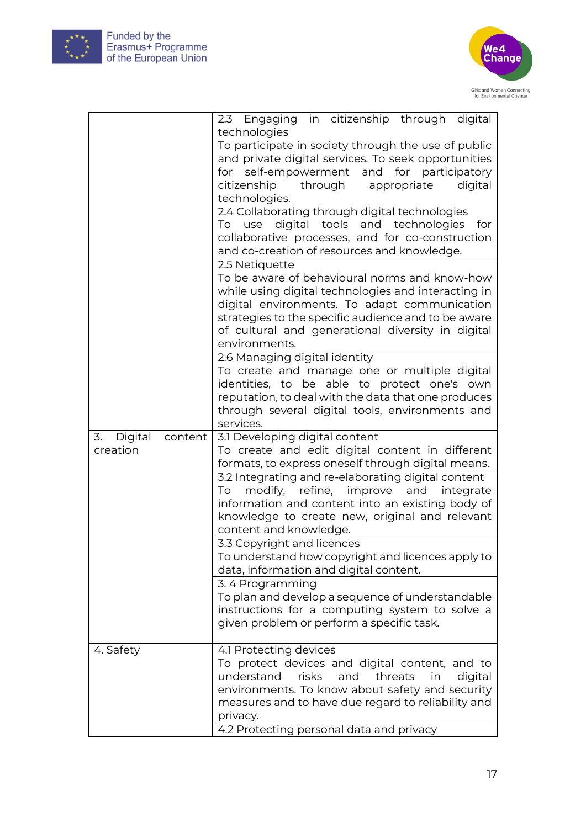



|               |         | 2.3 Engaging in citizenship through digital             |
|---------------|---------|---------------------------------------------------------|
|               |         | technologies                                            |
|               |         | To participate in society through the use of public     |
|               |         | and private digital services. To seek opportunities     |
|               |         | for self-empowerment and for participatory              |
|               |         | through<br>citizenship<br>appropriate<br>digital        |
|               |         | technologies.                                           |
|               |         | 2.4 Collaborating through digital technologies          |
|               |         | To use digital tools and technologies<br>for            |
|               |         | collaborative processes, and for co-construction        |
|               |         | and co-creation of resources and knowledge.             |
|               |         | 2.5 Netiquette                                          |
|               |         | To be aware of behavioural norms and know-how           |
|               |         | while using digital technologies and interacting in     |
|               |         | digital environments. To adapt communication            |
|               |         | strategies to the specific audience and to be aware     |
|               |         | of cultural and generational diversity in digital       |
|               |         | environments.                                           |
|               |         | 2.6 Managing digital identity                           |
|               |         | To create and manage one or multiple digital            |
|               |         | identities, to be able to protect one's own             |
|               |         | reputation, to deal with the data that one produces     |
|               |         | through several digital tools, environments and         |
|               |         | services.                                               |
|               |         |                                                         |
| Digital<br>3. | content | 3.1 Developing digital content                          |
| creation      |         | To create and edit digital content in different         |
|               |         | formats, to express oneself through digital means.      |
|               |         | 3.2 Integrating and re-elaborating digital content      |
|               |         | refine,<br>improve<br>and<br>To<br>modify,<br>integrate |
|               |         | information and content into an existing body of        |
|               |         | knowledge to create new, original and relevant          |
|               |         | content and knowledge.                                  |
|               |         | 3.3 Copyright and licences                              |
|               |         | To understand how copyright and licences apply to       |
|               |         | data, information and digital content.                  |
|               |         | 3.4 Programming                                         |
|               |         | To plan and develop a sequence of understandable        |
|               |         | instructions for a computing system to solve a          |
|               |         | given problem or perform a specific task.               |
|               |         |                                                         |
| 4. Safety     |         | 4.1 Protecting devices                                  |
|               |         | To protect devices and digital content, and to          |
|               |         | understand<br>risks<br>and threats<br>in<br>digital     |
|               |         | environments. To know about safety and security         |
|               |         | measures and to have due regard to reliability and      |
|               |         | privacy.<br>4.2 Protecting personal data and privacy    |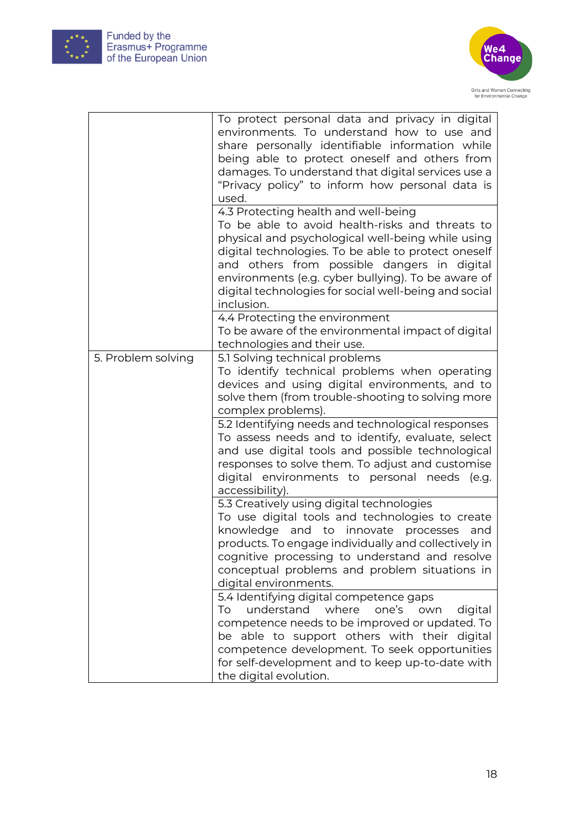



|                    | To protect personal data and privacy in digital<br>environments. To understand how to use and<br>share personally identifiable information while<br>being able to protect oneself and others from<br>damages. To understand that digital services use a<br>"Privacy policy" to inform how personal data is<br>used.<br>4.3 Protecting health and well-being |
|--------------------|-------------------------------------------------------------------------------------------------------------------------------------------------------------------------------------------------------------------------------------------------------------------------------------------------------------------------------------------------------------|
|                    | To be able to avoid health-risks and threats to<br>physical and psychological well-being while using<br>digital technologies. To be able to protect oneself<br>and others from possible dangers in digital<br>environments (e.g. cyber bullying). To be aware of<br>digital technologies for social well-being and social<br>inclusion.                     |
|                    | 4.4 Protecting the environment<br>To be aware of the environmental impact of digital<br>technologies and their use.                                                                                                                                                                                                                                         |
| 5. Problem solving | 5.1 Solving technical problems<br>To identify technical problems when operating<br>devices and using digital environments, and to<br>solve them (from trouble-shooting to solving more<br>complex problems).                                                                                                                                                |
|                    | 5.2 Identifying needs and technological responses<br>To assess needs and to identify, evaluate, select<br>and use digital tools and possible technological<br>responses to solve them. To adjust and customise<br>digital environments to personal needs (e.g.<br>accessibility).                                                                           |
|                    | 5.3 Creatively using digital technologies<br>To use digital tools and technologies to create<br>knowledge and to innovate processes<br>and<br>products. To engage individually and collectively in<br>cognitive processing to understand and resolve<br>conceptual problems and problem situations in<br>digital environments.                              |
|                    | 5.4 Identifying digital competence gaps<br>understand where<br>To<br>one's<br>digital<br>own<br>competence needs to be improved or updated. To<br>be able to support others with their digital<br>competence development. To seek opportunities<br>for self-development and to keep up-to-date with<br>the digital evolution.                               |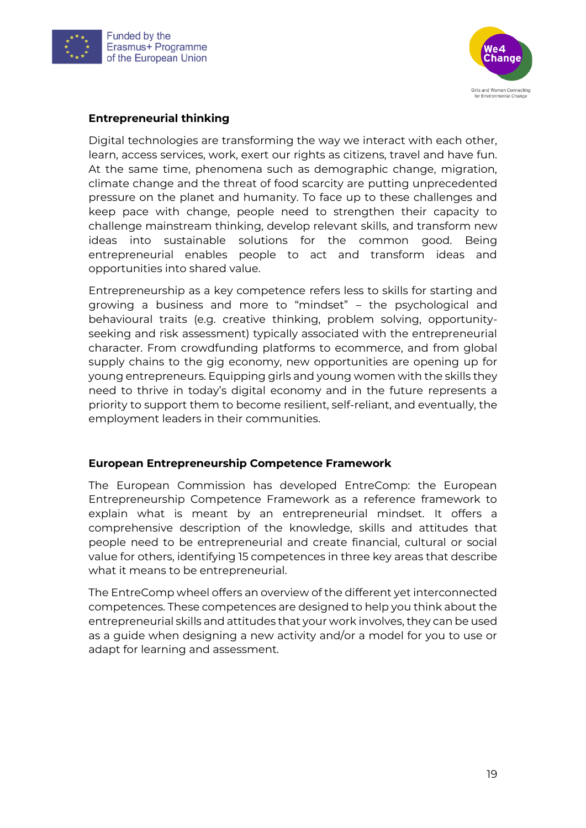



#### **Entrepreneurial thinking**

Digital technologies are transforming the way we interact with each other, learn, access services, work, exert our rights as citizens, travel and have fun. At the same time, phenomena such as demographic change, migration, climate change and the threat of food scarcity are putting unprecedented pressure on the planet and humanity. To face up to these challenges and keep pace with change, people need to strengthen their capacity to challenge mainstream thinking, develop relevant skills, and transform new ideas into sustainable solutions for the common good. Being entrepreneurial enables people to act and transform ideas and opportunities into shared value.

Entrepreneurship as a key competence refers less to skills for starting and growing a business and more to "mindset" – the psychological and behavioural traits (e.g. creative thinking, problem solving, opportunityseeking and risk assessment) typically associated with the entrepreneurial character. From crowdfunding platforms to ecommerce, and from global supply chains to the gig economy, new opportunities are opening up for young entrepreneurs. Equipping girls and young women with the skills they need to thrive in today's digital economy and in the future represents a priority to support them to become resilient, self-reliant, and eventually, the employment leaders in their communities.

#### **European Entrepreneurship Competence Framework**

The European Commission has developed EntreComp: the European Entrepreneurship Competence Framework as a reference framework to explain what is meant by an entrepreneurial mindset. It offers a comprehensive description of the knowledge, skills and attitudes that people need to be entrepreneurial and create financial, cultural or social value for others, identifying 15 competences in three key areas that describe what it means to be entrepreneurial.

The EntreComp wheel offers an overview of the different yet interconnected competences. These competences are designed to help you think about the entrepreneurial skills and attitudes that your work involves, they can be used as a guide when designing a new activity and/or a model for you to use or adapt for learning and assessment.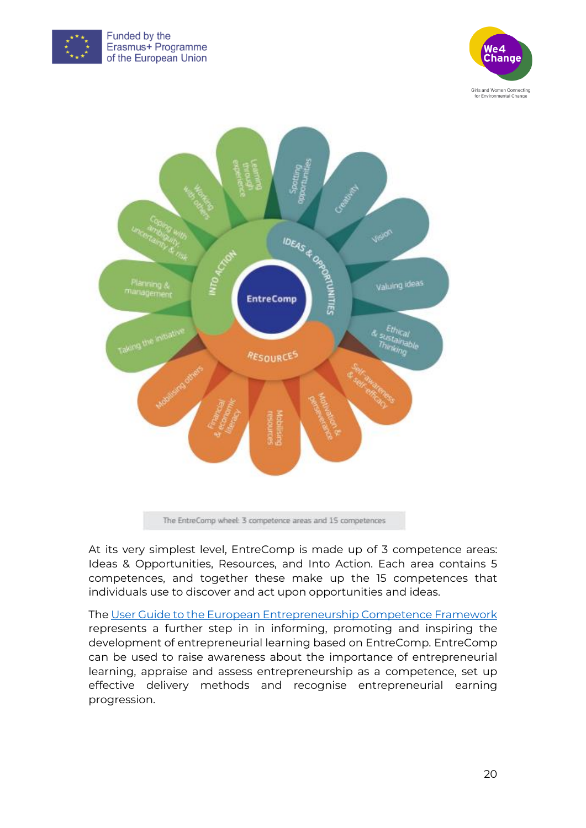





At its very simplest level, EntreComp is made up of 3 competence areas: Ideas & Opportunities, Resources, and Into Action. Each area contains 5 competences, and together these make up the 15 competences that individuals use to discover and act upon opportunities and ideas.

The [User Guide to the European Entrepreneurship Competence Framework](https://publications.jrc.ec.europa.eu/repository/handle/JRC109128) represents a further step in in informing, promoting and inspiring the development of entrepreneurial learning based on EntreComp. EntreComp can be used to raise awareness about the importance of entrepreneurial learning, appraise and assess entrepreneurship as a competence, set up effective delivery methods and recognise entrepreneurial earning progression.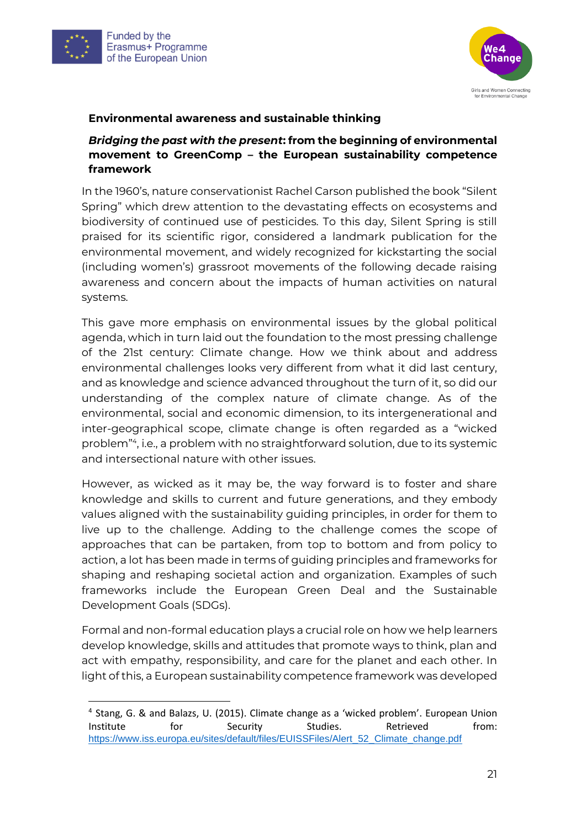



#### **Environmental awareness and sustainable thinking**

#### *Bridging the past with the present***: from the beginning of environmental movement to GreenComp – the European sustainability competence framework**

In the 1960's, nature conservationist Rachel Carson published the book "Silent Spring" which drew attention to the devastating effects on ecosystems and biodiversity of continued use of pesticides. To this day, Silent Spring is still praised for its scientific rigor, considered a landmark publication for the environmental movement, and widely recognized for kickstarting the social (including women's) grassroot movements of the following decade raising awareness and concern about the impacts of human activities on natural systems.

This gave more emphasis on environmental issues by the global political agenda, which in turn laid out the foundation to the most pressing challenge of the 21st century: Climate change. How we think about and address environmental challenges looks very different from what it did last century, and as knowledge and science advanced throughout the turn of it, so did our understanding of the complex nature of climate change. As of the environmental, social and economic dimension, to its intergenerational and inter-geographical scope, climate change is often regarded as a "wicked problem"<sup>4</sup> , i.e., a problem with no straightforward solution, due to its systemic and intersectional nature with other issues.

However, as wicked as it may be, the way forward is to foster and share knowledge and skills to current and future generations, and they embody values aligned with the sustainability guiding principles, in order for them to live up to the challenge. Adding to the challenge comes the scope of approaches that can be partaken, from top to bottom and from policy to action, a lot has been made in terms of guiding principles and frameworks for shaping and reshaping societal action and organization. Examples of such frameworks include the European Green Deal and the Sustainable Development Goals (SDGs).

Formal and non-formal education plays a crucial role on how we help learners develop knowledge, skills and attitudes that promote ways to think, plan and act with empathy, responsibility, and care for the planet and each other. In light of this, a European sustainability competence framework was developed

<sup>&</sup>lt;sup>4</sup> Stang, G. & and Balazs, U. (2015). Climate change as a 'wicked problem'. European Union Institute for Security Studies. Retrieved from: [https://www.iss.europa.eu/sites/default/files/EUISSFiles/Alert\\_52\\_Climate\\_change.pdf](https://www.iss.europa.eu/sites/default/files/EUISSFiles/Alert_52_Climate_change.pdf)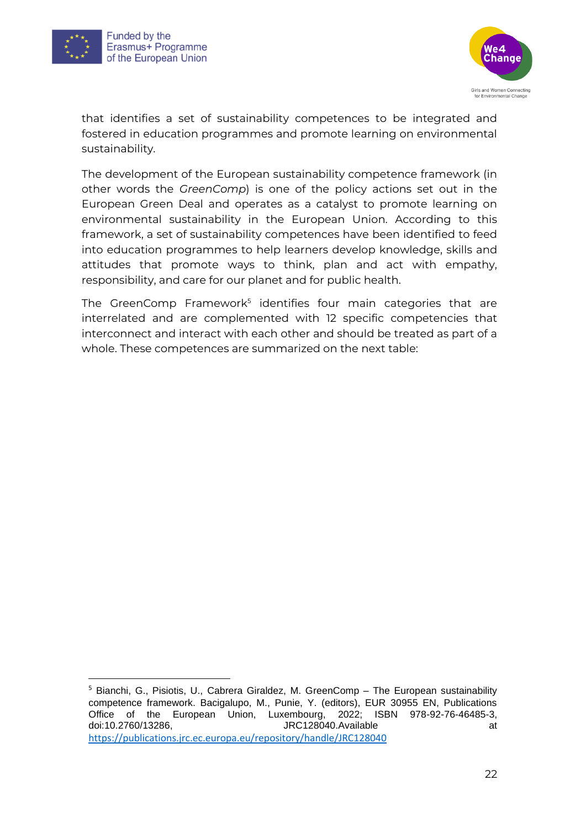





that identifies a set of sustainability competences to be integrated and fostered in education programmes and promote learning on environmental sustainability.

The development of the European sustainability competence framework (in other words the *GreenComp*) is one of the policy actions set out in the European Green Deal and operates as a catalyst to promote learning on environmental sustainability in the European Union. According to this framework, a set of sustainability competences have been identified to feed into education programmes to help learners develop knowledge, skills and attitudes that promote ways to think, plan and act with empathy, responsibility, and care for our planet and for public health.

The GreenComp Framework<sup>5</sup> identifies four main categories that are interrelated and are complemented with 12 specific competencies that interconnect and interact with each other and should be treated as part of a whole. These competences are summarized on the next table:

<sup>5</sup> Bianchi, G., Pisiotis, U., Cabrera Giraldez, M. GreenComp – The European sustainability competence framework. Bacigalupo, M., Punie, Y. (editors), EUR 30955 EN, Publications Office of the European Union, Luxembourg, 2022; ISBN 978-92-76-46485-3, doi:10.2760/13286, **JRC128040.Available** at at at a structure at a structure at a structure at a structure at a t <https://publications.jrc.ec.europa.eu/repository/handle/JRC128040>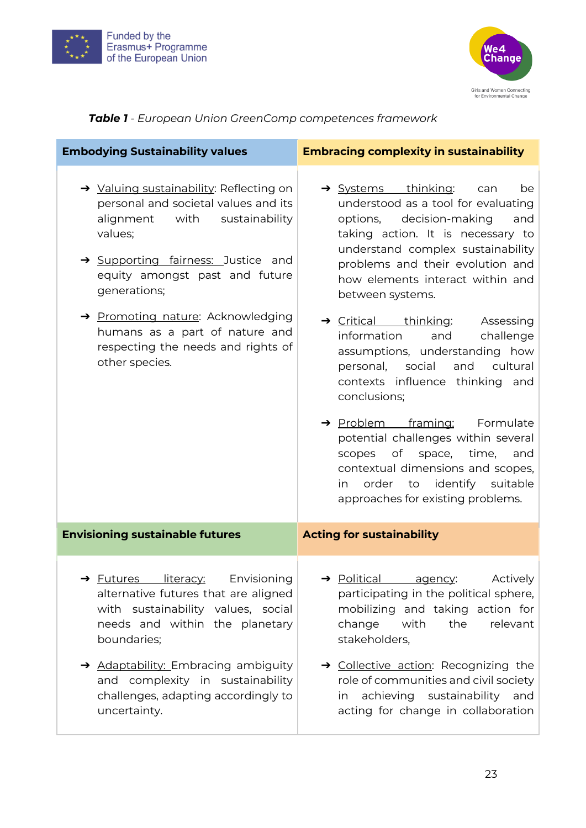



## *Table 1 - European Union GreenComp competences framework*

| <b>Embodying Sustainability values</b>                                                                                                                                                                                                                                                                                                             | <b>Embracing complexity in sustainability</b>                                                                                                                                                                                                                                                                                                                                                                                                                                                                                                                                                                                                                                                                                   |
|----------------------------------------------------------------------------------------------------------------------------------------------------------------------------------------------------------------------------------------------------------------------------------------------------------------------------------------------------|---------------------------------------------------------------------------------------------------------------------------------------------------------------------------------------------------------------------------------------------------------------------------------------------------------------------------------------------------------------------------------------------------------------------------------------------------------------------------------------------------------------------------------------------------------------------------------------------------------------------------------------------------------------------------------------------------------------------------------|
| → Valuing sustainability: Reflecting on<br>personal and societal values and its<br>alignment with sustainability<br>values;<br>→ Supporting fairness: Justice and<br>equity amongst past and future<br>generations;<br>→ Promoting nature: Acknowledging<br>humans as a part of nature and<br>respecting the needs and rights of<br>other species. | → Systems thinking:<br>can<br>be<br>understood as a tool for evaluating<br>options, decision-making<br>and<br>taking action. It is necessary to<br>understand complex sustainability<br>problems and their evolution and<br>how elements interact within and<br>between systems.<br>$\rightarrow$ Critical thinking:<br>Assessing<br>challenge<br>information<br>and<br>assumptions, understanding how<br>personal, social and cultural<br>contexts influence thinking and<br>conclusions;<br>→ Problem framing:<br>Formulate<br>potential challenges within several<br>of<br>space,<br>time,<br>scopes<br>and<br>contextual dimensions and scopes,<br>order to identify suitable<br>in in<br>approaches for existing problems. |
| <b>Envisioning sustainable futures</b>                                                                                                                                                                                                                                                                                                             | <b>Acting for sustainability</b>                                                                                                                                                                                                                                                                                                                                                                                                                                                                                                                                                                                                                                                                                                |
| → Futures literacy:<br>Envisioning<br>alternative futures that are aligned<br>with sustainability values, social<br>needs and within the planetary<br>boundaries;<br>Adaptability: Embracing ambiguity<br>and complexity in sustainability<br>challenges, adapting accordingly to<br>uncertainty.                                                  | > Political agency:<br>  Actively<br>participating in the political sphere,<br>mobilizing and taking action for<br>change<br>with<br>the<br>relevant<br>stakeholders,<br>→ Collective action: Recognizing the<br>role of communities and civil society<br>achieving sustainability<br>and<br>in.<br>acting for change in collaboration                                                                                                                                                                                                                                                                                                                                                                                          |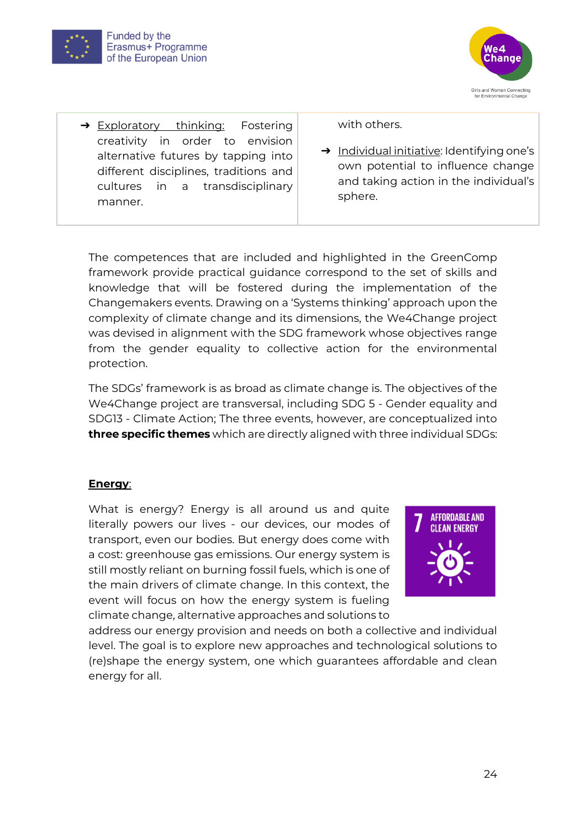



→ Exploratory thinking: Fostering creativity in order to envision alternative futures by tapping into different disciplines, traditions and cultures in a transdisciplinary manner.

with others.

➔ Individual initiative: Identifying one's own potential to influence change and taking action in the individual's sphere.

The competences that are included and highlighted in the GreenComp framework provide practical guidance correspond to the set of skills and knowledge that will be fostered during the implementation of the Changemakers events. Drawing on a 'Systems thinking' approach upon the complexity of climate change and its dimensions, the We4Change project was devised in alignment with the SDG framework whose objectives range from the gender equality to collective action for the environmental protection.

The SDGs' framework is as broad as climate change is. The objectives of the We4Change project are transversal, including SDG 5 - Gender equality and SDG13 - Climate Action; The three events, however, are conceptualized into **three specific themes** which are directly aligned with three individual SDGs:

#### **Energy**:

What is energy? Energy is all around us and quite literally powers our lives - our devices, our modes of transport, even our bodies. But energy does come with a cost: greenhouse gas emissions. Our energy system is still mostly reliant on burning fossil fuels, which is one of the main drivers of climate change. In this context, the event will focus on how the energy system is fueling climate change, alternative approaches and solutions to



address our energy provision and needs on both a collective and individual level. The goal is to explore new approaches and technological solutions to (re)shape the energy system, one which guarantees affordable and clean energy for all.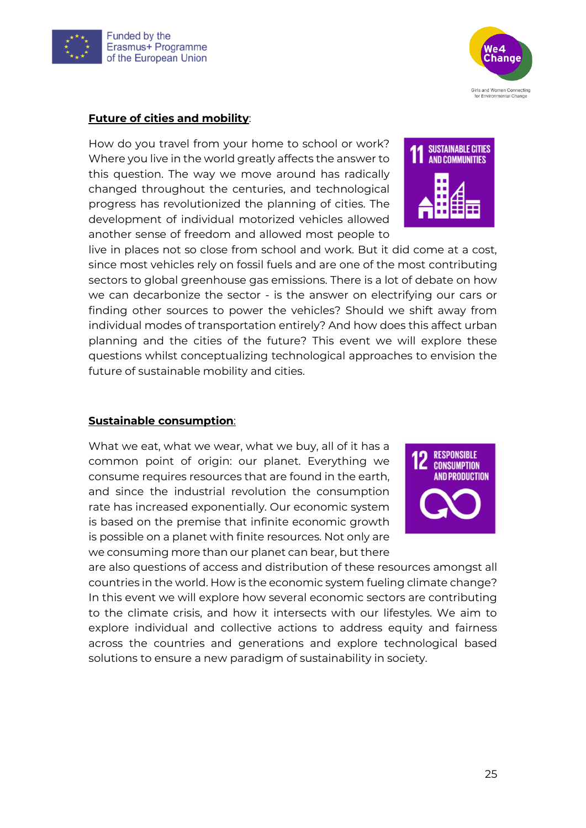

#### **Future of cities and mobility**:

How do you travel from your home to school or work? Where you live in the world greatly affects the answer to this question. The way we move around has radically changed throughout the centuries, and technological progress has revolutionized the planning of cities. The development of individual motorized vehicles allowed another sense of freedom and allowed most people to

live in places not so close from school and work. But it did come at a cost, since most vehicles rely on fossil fuels and are one of the most contributing sectors to global greenhouse gas emissions. There is a lot of debate on how we can decarbonize the sector - is the answer on electrifying our cars or finding other sources to power the vehicles? Should we shift away from individual modes of transportation entirely? And how does this affect urban planning and the cities of the future? This event we will explore these questions whilst conceptualizing technological approaches to envision the future of sustainable mobility and cities.

#### **Sustainable consumption**:

What we eat, what we wear, what we buy, all of it has a common point of origin: our planet. Everything we consume requires resources that are found in the earth, and since the industrial revolution the consumption rate has increased exponentially. Our economic system is based on the premise that infinite economic growth is possible on a planet with finite resources. Not only are we consuming more than our planet can bear, but there

**RESPONSIBLE CONSUMPTION AND PRODUCTION** 

are also questions of access and distribution of these resources amongst all countries in the world. How is the economic system fueling climate change? In this event we will explore how several economic sectors are contributing to the climate crisis, and how it intersects with our lifestyles. We aim to explore individual and collective actions to address equity and fairness across the countries and generations and explore technological based solutions to ensure a new paradigm of sustainability in society.



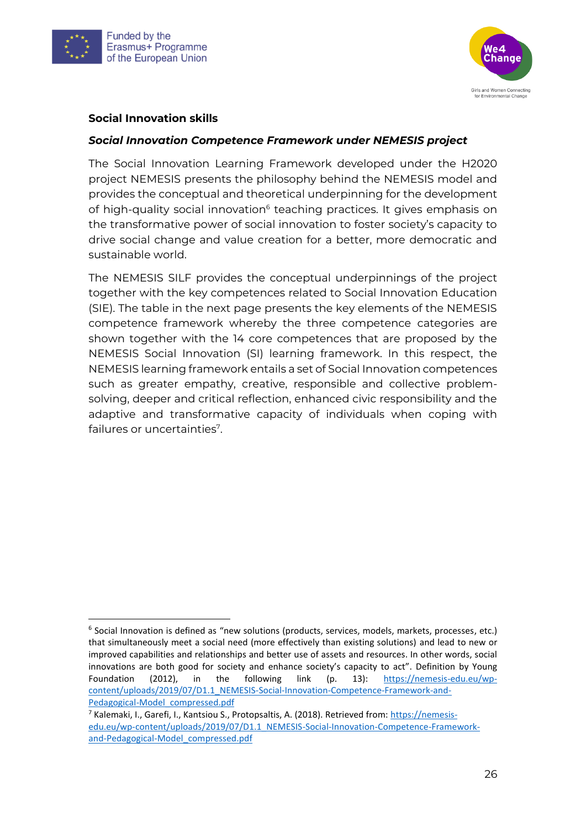



#### **Social Innovation skills**

#### *Social Innovation Competence Framework under NEMESIS project*

The Social Innovation Learning Framework developed under the H2020 project NEMESIS presents the philosophy behind the NEMESIS model and provides the conceptual and theoretical underpinning for the development of high-quality social innovation<sup>6</sup> teaching practices. It gives emphasis on the transformative power of social innovation to foster society's capacity to drive social change and value creation for a better, more democratic and sustainable world.

The NEMESIS SILF provides the conceptual underpinnings of the project together with the key competences related to Social Innovation Education (SIE). The table in the next page presents the key elements of the NEMESIS competence framework whereby the three competence categories are shown together with the 14 core competences that are proposed by the NEMESIS Social Innovation (SI) learning framework. In this respect, the NEMESIS learning framework entails a set of Social Innovation competences such as greater empathy, creative, responsible and collective problemsolving, deeper and critical reflection, enhanced civic responsibility and the adaptive and transformative capacity of individuals when coping with failures or uncertainties<sup>7</sup>.

<sup>&</sup>lt;sup>6</sup> Social Innovation is defined as "new solutions (products, services, models, markets, processes, etc.) that simultaneously meet a social need (more effectively than existing solutions) and lead to new or improved capabilities and relationships and better use of assets and resources. In other words, social innovations are both good for society and enhance society's capacity to act". Definition by Young Foundation (2012), in the following link (p. 13): [https://nemesis-edu.eu/wp](https://nemesis-edu.eu/wp-content/uploads/2019/07/D1.1_NEMESIS-Social-Innovation-Competence-Framework-and-Pedagogical-Model_compressed.pdf)[content/uploads/2019/07/D1.1\\_NEMESIS-Social-Innovation-Competence-Framework-and-](https://nemesis-edu.eu/wp-content/uploads/2019/07/D1.1_NEMESIS-Social-Innovation-Competence-Framework-and-Pedagogical-Model_compressed.pdf)[Pedagogical-Model\\_compressed.pdf](https://nemesis-edu.eu/wp-content/uploads/2019/07/D1.1_NEMESIS-Social-Innovation-Competence-Framework-and-Pedagogical-Model_compressed.pdf)

<sup>7</sup> Kalemaki, I., Garefi, I., Kantsiou S., Protopsaltis, A. (2018). Retrieved from: [https://nemesis](https://nemesis-edu.eu/wp-content/uploads/2019/07/D1.1_NEMESIS-Social-Innovation-Competence-Framework-and-Pedagogical-Model_compressed.pdf)[edu.eu/wp-content/uploads/2019/07/D1.1\\_NEMESIS-Social-Innovation-Competence-Framework](https://nemesis-edu.eu/wp-content/uploads/2019/07/D1.1_NEMESIS-Social-Innovation-Competence-Framework-and-Pedagogical-Model_compressed.pdf)[and-Pedagogical-Model\\_compressed.pdf](https://nemesis-edu.eu/wp-content/uploads/2019/07/D1.1_NEMESIS-Social-Innovation-Competence-Framework-and-Pedagogical-Model_compressed.pdf)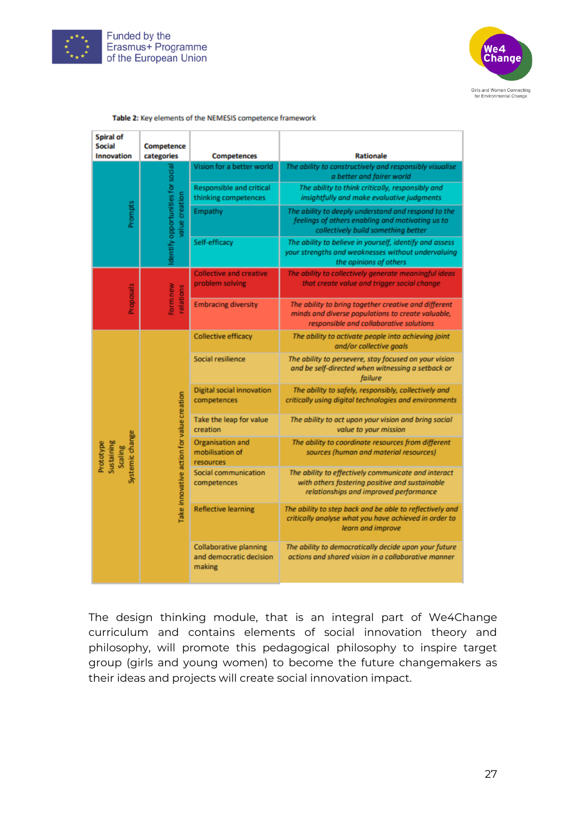



| Spiral of<br><b>Social</b>                            | Competence                                         |                                                                                                                                                      |                                                                                                                                                 |
|-------------------------------------------------------|----------------------------------------------------|------------------------------------------------------------------------------------------------------------------------------------------------------|-------------------------------------------------------------------------------------------------------------------------------------------------|
| <b>Innovation</b>                                     | categories                                         | <b>Competences</b>                                                                                                                                   | <b>Rationale</b>                                                                                                                                |
| Prompts                                               |                                                    | Vision for a better world                                                                                                                            | The ability to constructively and responsibly visualise<br>a better and fairer world                                                            |
|                                                       | dentify opportunities for social<br>value creation | Responsible and critical<br>thinking competences                                                                                                     | The ability to think critically, responsibly and<br>insightfully and make evaluative judgments                                                  |
|                                                       |                                                    | Empathy                                                                                                                                              | The ability to deeply understand and respond to the<br>feelings of others enabling and motivating us to<br>collectively build something better  |
|                                                       |                                                    | Self-efficacy                                                                                                                                        | The ability to believe in yourself, identify and assess<br>your strengths and weaknesses without undervaluing<br>the opinions of others         |
|                                                       |                                                    | <b>Collective and creative</b><br>problem solving                                                                                                    | The ability to collectively generate meaningful ideas<br>that create value and trigger social change                                            |
| <b>Proposals</b><br>Form new<br>relations             | <b>Embracing diversity</b>                         | The ability to bring together creative and different<br>minds and diverse populations to create valuable,<br>responsible and collaborative solutions |                                                                                                                                                 |
|                                                       |                                                    | <b>Collective efficacy</b>                                                                                                                           | The ability to activate people into achieving joint<br>and/or collective goals                                                                  |
|                                                       |                                                    | Social resilience                                                                                                                                    | The ability to persevere, stay focused on your vision<br>and be self-directed when witnessing a setback or<br>failure                           |
|                                                       |                                                    | Digital social innovation<br>competences                                                                                                             | The ability to safely, responsibly, collectively and<br>critically using digital technologies and environments                                  |
|                                                       |                                                    | Take the leap for value<br>creation                                                                                                                  | The ability to act upon your vision and bring social<br>value to your mission                                                                   |
| Systemic change<br>Sustaining<br>Prototype<br>Scaling |                                                    | Organisation and<br>mobilisation of<br>resources                                                                                                     | The ability to coordinate resources from different<br>sources (human and material resources)                                                    |
|                                                       | Take innovative action for value creation          | Social communication<br>competences                                                                                                                  | The ability to effectively communicate and interact<br>with others fostering positive and sustainable<br>relationships and improved performance |
|                                                       |                                                    | <b>Reflective learning</b>                                                                                                                           | The ability to step back and be able to reflectively and<br>critically analyse what you have achieved in order to<br>learn and improve          |
|                                                       |                                                    | <b>Collaborative planning</b><br>and democratic decision<br>making                                                                                   | The ability to democratically decide upon your future<br>actions and shared vision in a collaborative manner                                    |

#### Table 2: Key elements of the NEMESIS competence framework

The design thinking module, that is an integral part of We4Change curriculum and contains elements of social innovation theory and philosophy, will promote this pedagogical philosophy to inspire target group (girls and young women) to become the future changemakers as their ideas and projects will create social innovation impact.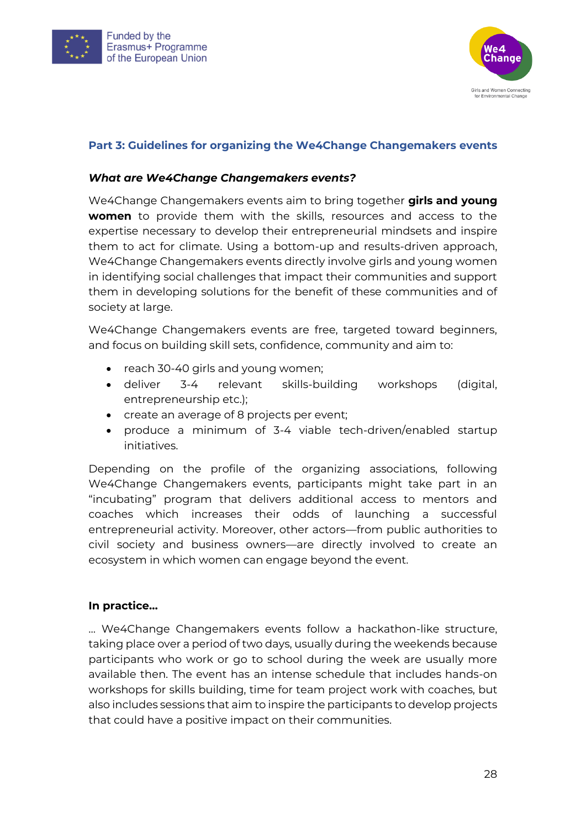



#### <span id="page-27-0"></span>**Part 3: Guidelines for organizing the We4Change Changemakers events**

#### *What are We4Change Changemakers events?*

We4Change Changemakers events aim to bring together **girls and young women** to provide them with the skills, resources and access to the expertise necessary to develop their entrepreneurial mindsets and inspire them to act for climate. Using a bottom-up and results-driven approach, We4Change Changemakers events directly involve girls and young women in identifying social challenges that impact their communities and support them in developing solutions for the benefit of these communities and of society at large.

We4Change Changemakers events are free, targeted toward beginners, and focus on building skill sets, confidence, community and aim to:

- reach 30-40 girls and young women;
- deliver 3-4 relevant skills-building workshops (digital, entrepreneurship etc.);
- create an average of 8 projects per event;
- produce a minimum of 3-4 viable tech-driven/enabled startup initiatives.

Depending on the profile of the organizing associations, following We4Change Changemakers events, participants might take part in an "incubating" program that delivers additional access to mentors and coaches which increases their odds of launching a successful entrepreneurial activity. Moreover, other actors—from public authorities to civil society and business owners—are directly involved to create an ecosystem in which women can engage beyond the event.

#### **In practice…**

… We4Change Changemakers events follow a hackathon-like structure, taking place over a period of two days, usually during the weekends because participants who work or go to school during the week are usually more available then. The event has an intense schedule that includes hands-on workshops for skills building, time for team project work with coaches, but also includes sessions that aim to inspire the participants to develop projects that could have a positive impact on their communities.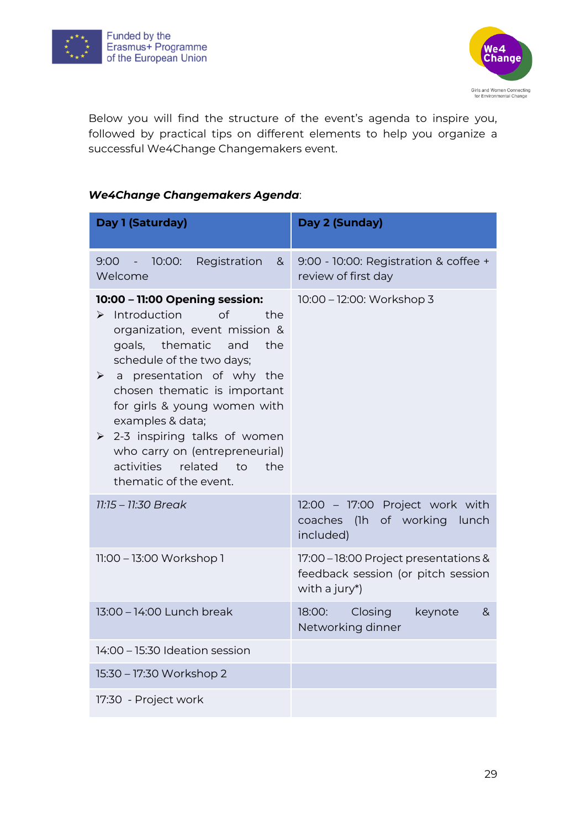



Below you will find the structure of the event's agenda to inspire you, followed by practical tips on different elements to help you organize a successful We4Change Changemakers event.

#### *We4Change Changemakers Agenda*:

| Day 1 (Saturday)                                                                                                                                                                                                                                                                                                                                                                                                                                           | Day 2 (Sunday)                                                                               |
|------------------------------------------------------------------------------------------------------------------------------------------------------------------------------------------------------------------------------------------------------------------------------------------------------------------------------------------------------------------------------------------------------------------------------------------------------------|----------------------------------------------------------------------------------------------|
| $-10:00:$<br>Registration<br>9:00<br>8 <sub>1</sub><br>Welcome                                                                                                                                                                                                                                                                                                                                                                                             | 9:00 - 10:00: Registration & coffee +<br>review of first day                                 |
| 10:00 - 11:00 Opening session:<br>Introduction<br>of<br>the<br>≻<br>organization, event mission &<br>goals, thematic and<br>the<br>schedule of the two days;<br>presentation of why the<br>$\blacktriangleright$<br>$\mathsf{a}$<br>chosen thematic is important<br>for girls & young women with<br>examples & data;<br>$\geq$ 2-3 inspiring talks of women<br>who carry on (entrepreneurial)<br>activities related<br>the<br>to<br>thematic of the event. | 10:00 - 12:00: Workshop 3                                                                    |
| $11:15 - 11:30$ Break                                                                                                                                                                                                                                                                                                                                                                                                                                      | 12:00 - 17:00 Project work with<br>coaches<br>(1h of working lunch<br>included)              |
| 11:00 - 13:00 Workshop 1                                                                                                                                                                                                                                                                                                                                                                                                                                   | 17:00 - 18:00 Project presentations &<br>feedback session (or pitch session<br>with a jury*) |
| 13:00 - 14:00 Lunch break                                                                                                                                                                                                                                                                                                                                                                                                                                  | Closing<br>keynote<br>18:00:<br>&<br>Networking dinner                                       |
| 14:00 - 15:30 Ideation session                                                                                                                                                                                                                                                                                                                                                                                                                             |                                                                                              |
| 15:30 - 17:30 Workshop 2                                                                                                                                                                                                                                                                                                                                                                                                                                   |                                                                                              |
| 17:30 - Project work                                                                                                                                                                                                                                                                                                                                                                                                                                       |                                                                                              |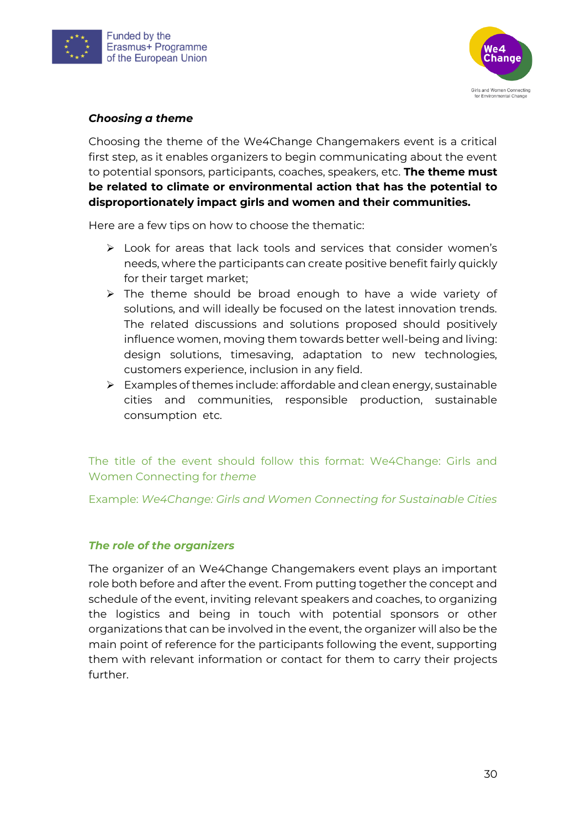



#### *Choosing a theme*

Choosing the theme of the We4Change Changemakers event is a critical first step, as it enables organizers to begin communicating about the event to potential sponsors, participants, coaches, speakers, etc. **The theme must be related to climate or environmental action that has the potential to disproportionately impact girls and women and their communities.**

Here are a few tips on how to choose the thematic:

- ➢ Look for areas that lack tools and services that consider women's needs, where the participants can create positive benefit fairly quickly for their target market;
- ➢ The theme should be broad enough to have a wide variety of solutions, and will ideally be focused on the latest innovation trends. The related discussions and solutions proposed should positively influence women, moving them towards better well-being and living: design solutions, timesaving, adaptation to new technologies, customers experience, inclusion in any field.
- $\triangleright$  Examples of themes include: affordable and clean energy, sustainable cities and communities, responsible production, sustainable consumption etc.

The title of the event should follow this format: We4Change: Girls and Women Connecting for *theme*

Example: *We4Change: Girls and Women Connecting for Sustainable Cities*

#### *The role of the organizers*

The organizer of an We4Change Changemakers event plays an important role both before and after the event. From putting together the concept and schedule of the event, inviting relevant speakers and coaches, to organizing the logistics and being in touch with potential sponsors or other organizations that can be involved in the event, the organizer will also be the main point of reference for the participants following the event, supporting them with relevant information or contact for them to carry their projects further.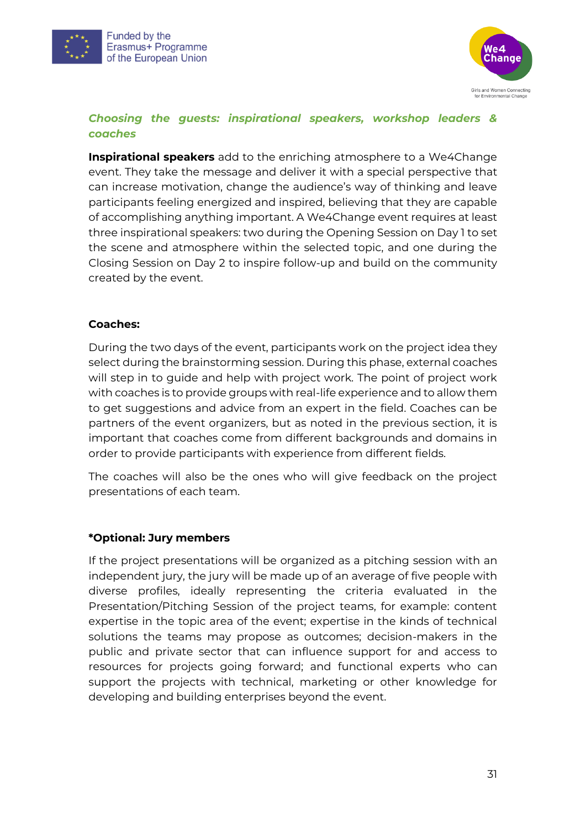



#### *Choosing the guests: inspirational speakers, workshop leaders & coaches*

**Inspirational speakers** add to the enriching atmosphere to a We4Change event. They take the message and deliver it with a special perspective that can increase motivation, change the audience's way of thinking and leave participants feeling energized and inspired, believing that they are capable of accomplishing anything important. A We4Change event requires at least three inspirational speakers: two during the Opening Session on Day 1 to set the scene and atmosphere within the selected topic, and one during the Closing Session on Day 2 to inspire follow-up and build on the community created by the event.

#### **Coaches:**

During the two days of the event, participants work on the project idea they select during the brainstorming session. During this phase, external coaches will step in to guide and help with project work. The point of project work with coaches is to provide groups with real-life experience and to allow them to get suggestions and advice from an expert in the field. Coaches can be partners of the event organizers, but as noted in the previous section, it is important that coaches come from different backgrounds and domains in order to provide participants with experience from different fields.

The coaches will also be the ones who will give feedback on the project presentations of each team.

#### **\*Optional: Jury members**

If the project presentations will be organized as a pitching session with an independent jury, the jury will be made up of an average of five people with diverse profiles, ideally representing the criteria evaluated in the Presentation/Pitching Session of the project teams, for example: content expertise in the topic area of the event; expertise in the kinds of technical solutions the teams may propose as outcomes; decision-makers in the public and private sector that can influence support for and access to resources for projects going forward; and functional experts who can support the projects with technical, marketing or other knowledge for developing and building enterprises beyond the event.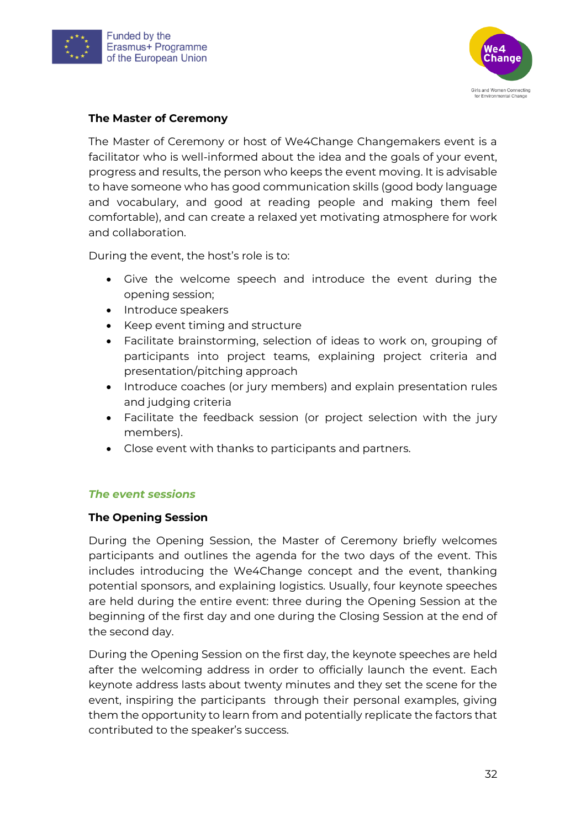



#### **The Master of Ceremony**

The Master of Ceremony or host of We4Change Changemakers event is a facilitator who is well-informed about the idea and the goals of your event, progress and results, the person who keeps the event moving. It is advisable to have someone who has good communication skills (good body language and vocabulary, and good at reading people and making them feel comfortable), and can create a relaxed yet motivating atmosphere for work and collaboration.

During the event, the host's role is to:

- Give the welcome speech and introduce the event during the opening session;
- Introduce speakers
- Keep event timing and structure
- Facilitate brainstorming, selection of ideas to work on, grouping of participants into project teams, explaining project criteria and presentation/pitching approach
- Introduce coaches (or jury members) and explain presentation rules and judging criteria
- Facilitate the feedback session (or project selection with the jury members).
- Close event with thanks to participants and partners.

#### *The event sessions*

#### **The Opening Session**

During the Opening Session, the Master of Ceremony briefly welcomes participants and outlines the agenda for the two days of the event. This includes introducing the We4Change concept and the event, thanking potential sponsors, and explaining logistics. Usually, four keynote speeches are held during the entire event: three during the Opening Session at the beginning of the first day and one during the Closing Session at the end of the second day.

During the Opening Session on the first day, the keynote speeches are held after the welcoming address in order to officially launch the event. Each keynote address lasts about twenty minutes and they set the scene for the event, inspiring the participants through their personal examples, giving them the opportunity to learn from and potentially replicate the factors that contributed to the speaker's success.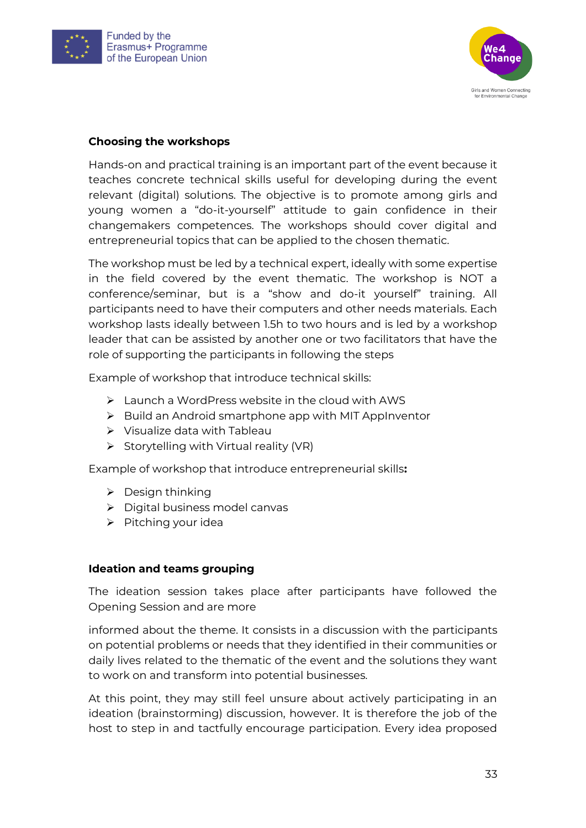



#### **Choosing the workshops**

Hands-on and practical training is an important part of the event because it teaches concrete technical skills useful for developing during the event relevant (digital) solutions. The objective is to promote among girls and young women a "do-it-yourself" attitude to gain confidence in their changemakers competences. The workshops should cover digital and entrepreneurial topics that can be applied to the chosen thematic.

The workshop must be led by a technical expert, ideally with some expertise in the field covered by the event thematic. The workshop is NOT a conference/seminar, but is a "show and do-it yourself" training. All participants need to have their computers and other needs materials. Each workshop lasts ideally between 1.5h to two hours and is led by a workshop leader that can be assisted by another one or two facilitators that have the role of supporting the participants in following the steps

Example of workshop that introduce technical skills:

- ➢ Launch a WordPress website in the cloud with AWS
- ➢ Build an Android smartphone app with MIT AppInventor
- ➢ Visualize data with Tableau
- ➢ Storytelling with Virtual reality (VR)

Example of workshop that introduce entrepreneurial skills**:**

- ➢ Design thinking
- ➢ Digital business model canvas
- ➢ Pitching your idea

#### **Ideation and teams grouping**

The ideation session takes place after participants have followed the Opening Session and are more

informed about the theme. It consists in a discussion with the participants on potential problems or needs that they identified in their communities or daily lives related to the thematic of the event and the solutions they want to work on and transform into potential businesses.

At this point, they may still feel unsure about actively participating in an ideation (brainstorming) discussion, however. It is therefore the job of the host to step in and tactfully encourage participation. Every idea proposed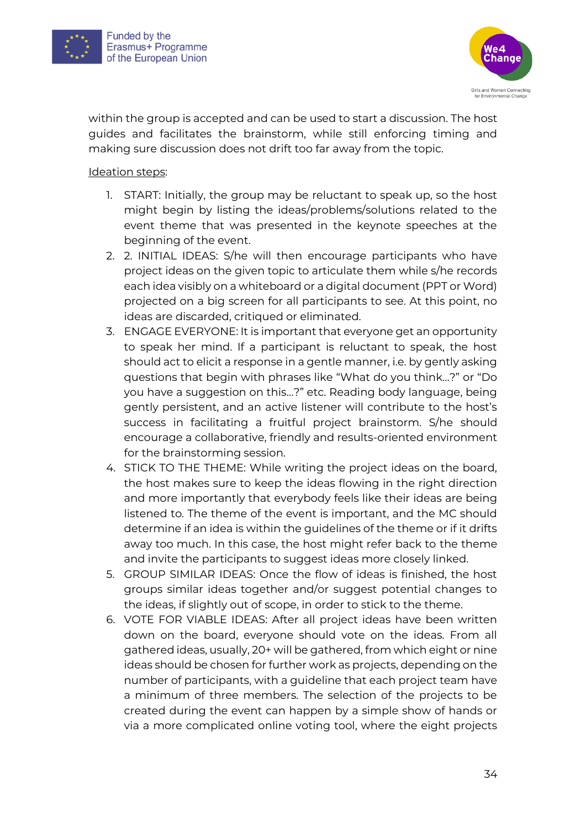



within the group is accepted and can be used to start a discussion. The host guides and facilitates the brainstorm, while still enforcing timing and making sure discussion does not drift too far away from the topic.

#### Ideation steps:

- 1. START: Initially, the group may be reluctant to speak up, so the host might begin by listing the ideas/problems/solutions related to the event theme that was presented in the keynote speeches at the beginning of the event.
- 2. 2. INITIAL IDEAS: S/he will then encourage participants who have project ideas on the given topic to articulate them while s/he records each idea visibly on a whiteboard or a digital document (PPT or Word) projected on a big screen for all participants to see. At this point, no ideas are discarded, critiqued or eliminated.
- 3. ENGAGE EVERYONE: It is important that everyone get an opportunity to speak her mind. If a participant is reluctant to speak, the host should act to elicit a response in a gentle manner, i.e. by gently asking questions that begin with phrases like "What do you think…?" or "Do you have a suggestion on this…?" etc. Reading body language, being gently persistent, and an active listener will contribute to the host's success in facilitating a fruitful project brainstorm. S/he should encourage a collaborative, friendly and results-oriented environment for the brainstorming session.
- 4. STICK TO THE THEME: While writing the project ideas on the board, the host makes sure to keep the ideas flowing in the right direction and more importantly that everybody feels like their ideas are being listened to. The theme of the event is important, and the MC should determine if an idea is within the guidelines of the theme or if it drifts away too much. In this case, the host might refer back to the theme and invite the participants to suggest ideas more closely linked.
- 5. GROUP SIMILAR IDEAS: Once the flow of ideas is finished, the host groups similar ideas together and/or suggest potential changes to the ideas, if slightly out of scope, in order to stick to the theme.
- 6. VOTE FOR VIABLE IDEAS: After all project ideas have been written down on the board, everyone should vote on the ideas. From all gathered ideas, usually, 20+ will be gathered, from which eight or nine ideas should be chosen for further work as projects, depending on the number of participants, with a guideline that each project team have a minimum of three members. The selection of the projects to be created during the event can happen by a simple show of hands or via a more complicated online voting tool, where the eight projects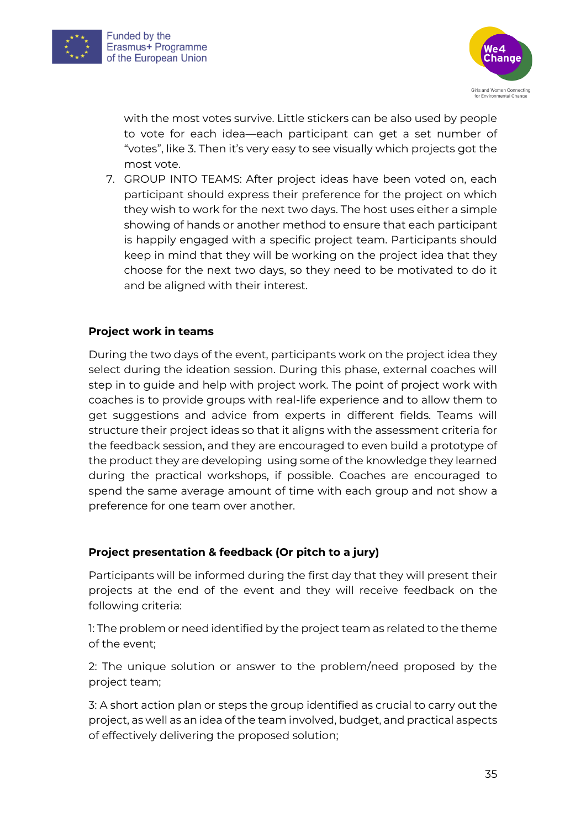



with the most votes survive. Little stickers can be also used by people to vote for each idea—each participant can get a set number of "votes", like 3. Then it's very easy to see visually which projects got the most vote.

7. GROUP INTO TEAMS: After project ideas have been voted on, each participant should express their preference for the project on which they wish to work for the next two days. The host uses either a simple showing of hands or another method to ensure that each participant is happily engaged with a specific project team. Participants should keep in mind that they will be working on the project idea that they choose for the next two days, so they need to be motivated to do it and be aligned with their interest.

#### **Project work in teams**

During the two days of the event, participants work on the project idea they select during the ideation session. During this phase, external coaches will step in to guide and help with project work. The point of project work with coaches is to provide groups with real-life experience and to allow them to get suggestions and advice from experts in different fields. Teams will structure their project ideas so that it aligns with the assessment criteria for the feedback session, and they are encouraged to even build a prototype of the product they are developing using some of the knowledge they learned during the practical workshops, if possible. Coaches are encouraged to spend the same average amount of time with each group and not show a preference for one team over another.

#### **Project presentation & feedback (Or pitch to a jury)**

Participants will be informed during the first day that they will present their projects at the end of the event and they will receive feedback on the following criteria:

1: The problem or need identified by the project team as related to the theme of the event;

2: The unique solution or answer to the problem/need proposed by the project team;

3: A short action plan or steps the group identified as crucial to carry out the project, as well as an idea of the team involved, budget, and practical aspects of effectively delivering the proposed solution;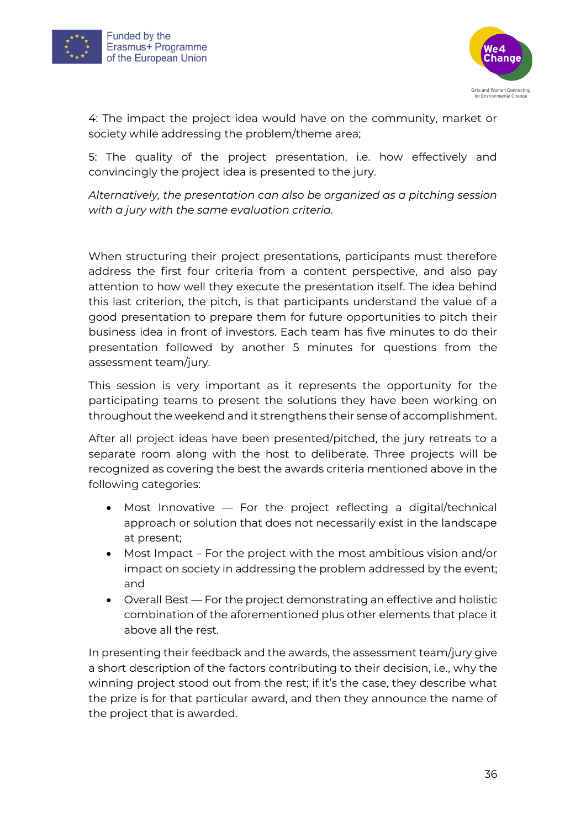



4: The impact the project idea would have on the community, market or society while addressing the problem/theme area;

5: The quality of the project presentation, i.e. how effectively and convincingly the project idea is presented to the jury.

*Alternatively, the presentation can also be organized as a pitching session with a jury with the same evaluation criteria.*

When structuring their project presentations, participants must therefore address the first four criteria from a content perspective, and also pay attention to how well they execute the presentation itself. The idea behind this last criterion, the pitch, is that participants understand the value of a good presentation to prepare them for future opportunities to pitch their business idea in front of investors. Each team has five minutes to do their presentation followed by another 5 minutes for questions from the assessment team/jury.

This session is very important as it represents the opportunity for the participating teams to present the solutions they have been working on throughout the weekend and it strengthens their sense of accomplishment.

After all project ideas have been presented/pitched, the jury retreats to a separate room along with the host to deliberate. Three projects will be recognized as covering the best the awards criteria mentioned above in the following categories:

- Most Innovative For the project reflecting a digital/technical approach or solution that does not necessarily exist in the landscape at present;
- Most Impact For the project with the most ambitious vision and/or impact on society in addressing the problem addressed by the event; and
- Overall Best For the project demonstrating an effective and holistic combination of the aforementioned plus other elements that place it above all the rest.

In presenting their feedback and the awards, the assessment team/jury give a short description of the factors contributing to their decision, i.e., why the winning project stood out from the rest; if it's the case, they describe what the prize is for that particular award, and then they announce the name of the project that is awarded.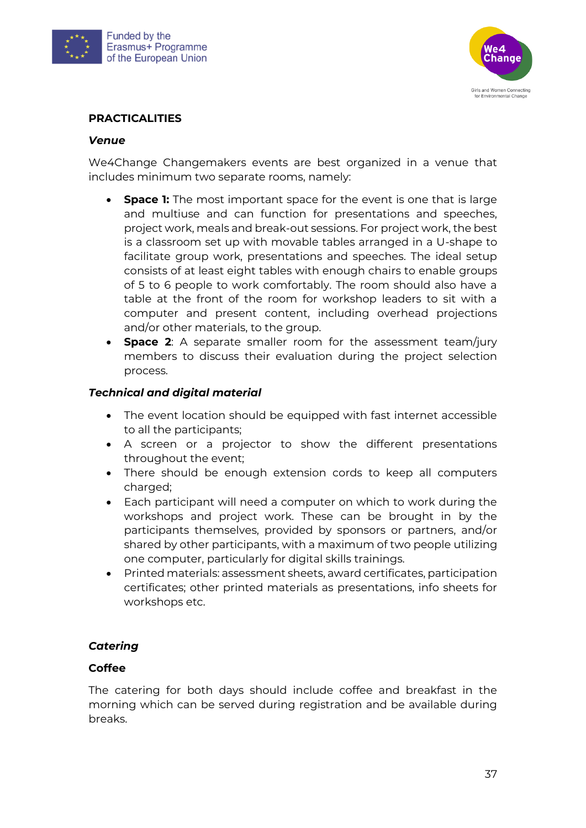



#### **PRACTICALITIES**

#### *Venue*

We4Change Changemakers events are best organized in a venue that includes minimum two separate rooms, namely:

- **Space 1:** The most important space for the event is one that is large and multiuse and can function for presentations and speeches, project work, meals and break-out sessions. For project work, the best is a classroom set up with movable tables arranged in a U-shape to facilitate group work, presentations and speeches. The ideal setup consists of at least eight tables with enough chairs to enable groups of 5 to 6 people to work comfortably. The room should also have a table at the front of the room for workshop leaders to sit with a computer and present content, including overhead projections and/or other materials, to the group.
- **Space 2:** A separate smaller room for the assessment team/jury members to discuss their evaluation during the project selection process.

#### *Technical and digital material*

- The event location should be equipped with fast internet accessible to all the participants;
- A screen or a projector to show the different presentations throughout the event;
- There should be enough extension cords to keep all computers charged;
- Each participant will need a computer on which to work during the workshops and project work. These can be brought in by the participants themselves, provided by sponsors or partners, and/or shared by other participants, with a maximum of two people utilizing one computer, particularly for digital skills trainings.
- Printed materials: assessment sheets, award certificates, participation certificates; other printed materials as presentations, info sheets for workshops etc.

#### *Catering*

#### **Coffee**

The catering for both days should include coffee and breakfast in the morning which can be served during registration and be available during breaks.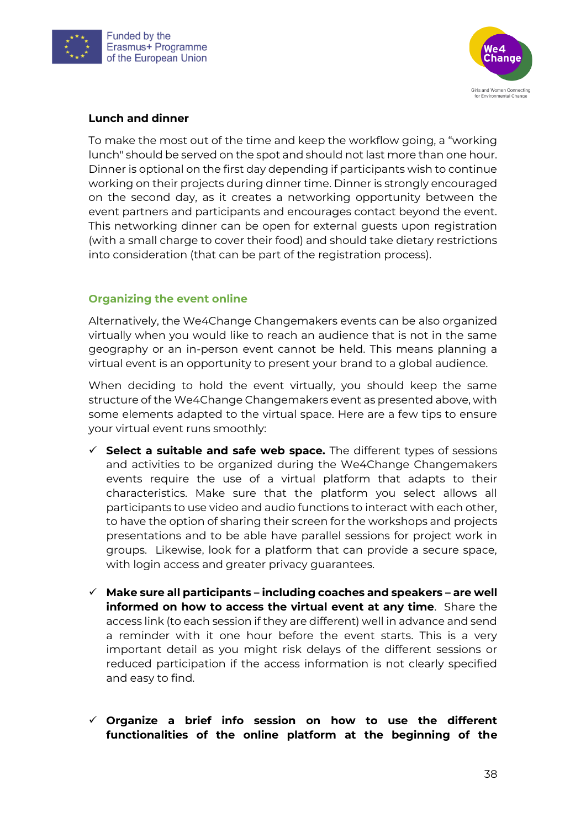



#### **Lunch and dinner**

To make the most out of the time and keep the workflow going, a "working lunch" should be served on the spot and should not last more than one hour. Dinner is optional on the first day depending if participants wish to continue working on their projects during dinner time. Dinner is strongly encouraged on the second day, as it creates a networking opportunity between the event partners and participants and encourages contact beyond the event. This networking dinner can be open for external guests upon registration (with a small charge to cover their food) and should take dietary restrictions into consideration (that can be part of the registration process).

#### **Organizing the event online**

Alternatively, the We4Change Changemakers events can be also organized virtually when you would like to reach an audience that is not in the same geography or an in-person event cannot be held. This means planning a virtual event is an opportunity to present your brand to a global audience.

When deciding to hold the event virtually, you should keep the same structure of the We4Change Changemakers event as presented above, with some elements adapted to the virtual space. Here are a few tips to ensure your virtual event runs smoothly:

- ✓ **Select a suitable and safe web space.** The different types of sessions and activities to be organized during the We4Change Changemakers events require the use of a virtual platform that adapts to their characteristics. Make sure that the platform you select allows all participants to use video and audio functions to interact with each other, to have the option of sharing their screen for the workshops and projects presentations and to be able have parallel sessions for project work in groups. Likewise, look for a platform that can provide a secure space, with login access and greater privacy guarantees.
- ✓ **Make sure all participants – including coaches and speakers – are well informed on how to access the virtual event at any time**. Share the access link (to each session if they are different) well in advance and send a reminder with it one hour before the event starts. This is a very important detail as you might risk delays of the different sessions or reduced participation if the access information is not clearly specified and easy to find.
- ✓ **Organize a brief info session on how to use the different functionalities of the online platform at the beginning of the**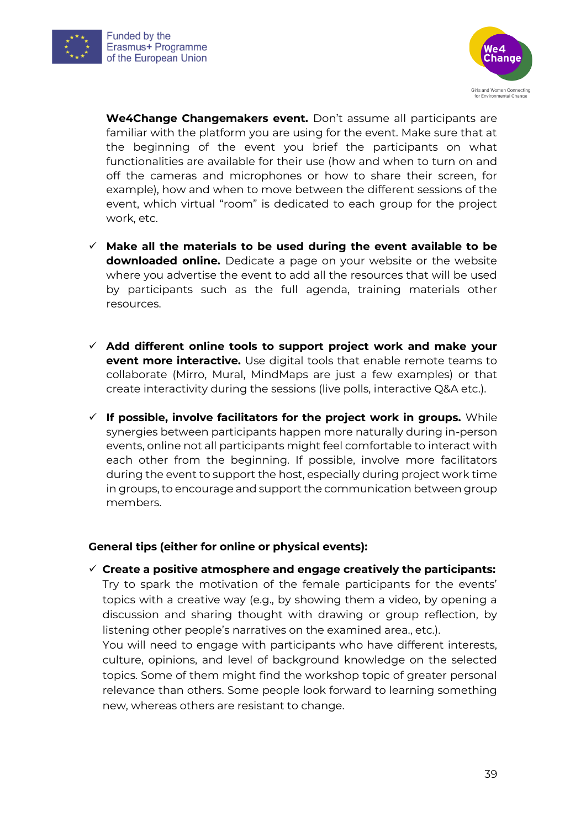



**We4Change Changemakers event.** Don't assume all participants are familiar with the platform you are using for the event. Make sure that at the beginning of the event you brief the participants on what functionalities are available for their use (how and when to turn on and off the cameras and microphones or how to share their screen, for example), how and when to move between the different sessions of the event, which virtual "room" is dedicated to each group for the project work, etc.

- ✓ **Make all the materials to be used during the event available to be downloaded online.** Dedicate a page on your website or the website where you advertise the event to add all the resources that will be used by participants such as the full agenda, training materials other resources.
- ✓ **Add different online tools to support project work and make your event more interactive.** Use digital tools that enable remote teams to collaborate (Mirro, Mural, MindMaps are just a few examples) or that create interactivity during the sessions (live polls, interactive Q&A etc.).
- ✓ **If possible, involve facilitators for the project work in groups.** While synergies between participants happen more naturally during in-person events, online not all participants might feel comfortable to interact with each other from the beginning. If possible, involve more facilitators during the event to support the host, especially during project work time in groups, to encourage and support the communication between group members.

#### **General tips (either for online or physical events):**

✓ **Create a positive atmosphere and engage creatively the participants:**  Try to spark the motivation of the female participants for the events' topics with a creative way (e.g., by showing them a video, by opening a discussion and sharing thought with drawing or group reflection, by listening other people's narratives on the examined area., etc.).

You will need to engage with participants who have different interests, culture, opinions, and level of background knowledge on the selected topics. Some of them might find the workshop topic of greater personal relevance than others. Some people look forward to learning something new, whereas others are resistant to change.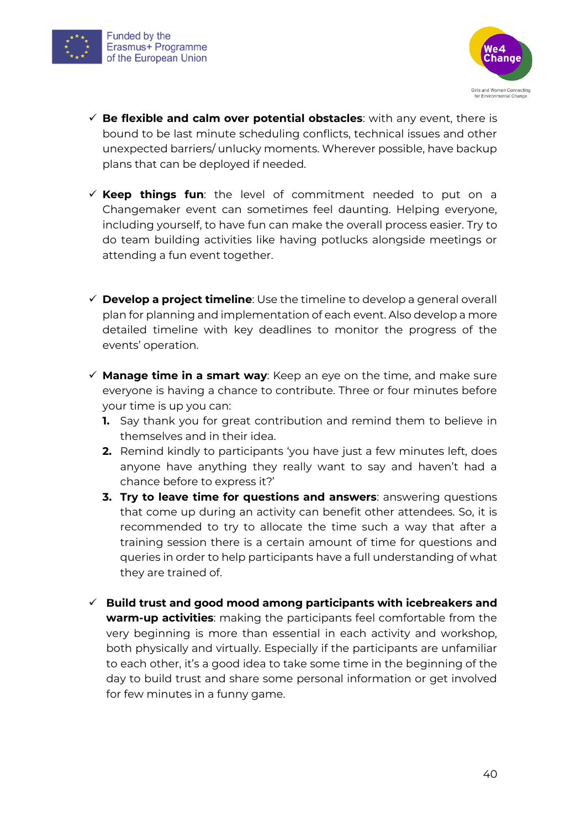



- ✓ **Be flexible and calm over potential obstacles**: with any event, there is bound to be last minute scheduling conflicts, technical issues and other unexpected barriers/ unlucky moments. Wherever possible, have backup plans that can be deployed if needed.
- ✓ **Keep things fun**: the level of commitment needed to put on a Changemaker event can sometimes feel daunting. Helping everyone, including yourself, to have fun can make the overall process easier. Try to do team building activities like having potlucks alongside meetings or attending a fun event together.
- ✓ **Develop a project timeline**: Use the timeline to develop a general overall plan for planning and implementation of each event. Also develop a more detailed timeline with key deadlines to monitor the progress of the events' operation.
- ✓ **Manage time in a smart way**: Keep an eye on the time, and make sure everyone is having a chance to contribute. Three or four minutes before your time is up you can:
	- **1.** Say thank you for great contribution and remind them to believe in themselves and in their idea.
	- **2.** Remind kindly to participants 'you have just a few minutes left, does anyone have anything they really want to say and haven't had a chance before to express it?'
	- **3. Try to leave time for questions and answers**: answering questions that come up during an activity can benefit other attendees. So, it is recommended to try to allocate the time such a way that after a training session there is a certain amount of time for questions and queries in order to help participants have a full understanding of what they are trained of.
- ✓ **Build trust and good mood among participants with icebreakers and warm-up activities**: making the participants feel comfortable from the very beginning is more than essential in each activity and workshop, both physically and virtually. Especially if the participants are unfamiliar to each other, it's a good idea to take some time in the beginning of the day to build trust and share some personal information or get involved for few minutes in a funny game.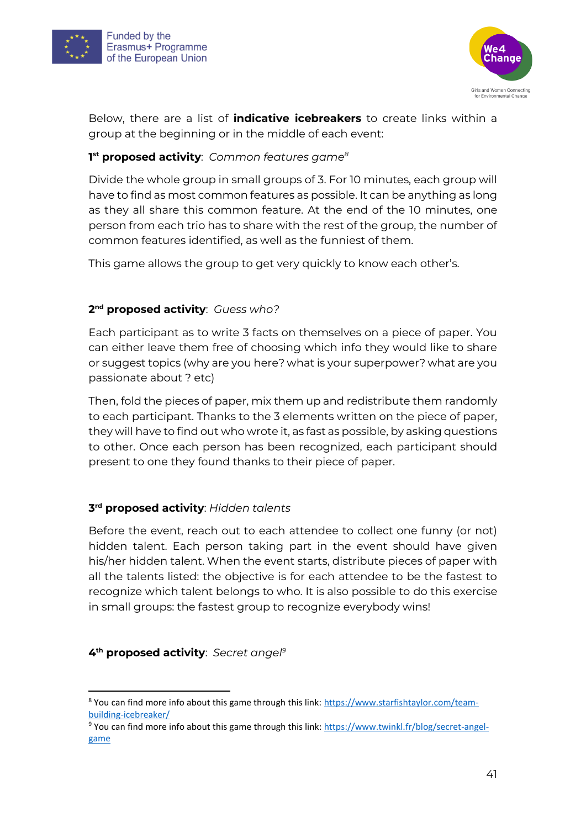



Below, there are a list of **indicative icebreakers** to create links within a group at the beginning or in the middle of each event:

#### **1 st proposed activity**: *Common features game<sup>8</sup>*

Divide the whole group in small groups of 3. For 10 minutes, each group will have to find as most common features as possible. It can be anything as long as they all share this common feature. At the end of the 10 minutes, one person from each trio has to share with the rest of the group, the number of common features identified, as well as the funniest of them.

This game allows the group to get very quickly to know each other's.

#### **2 nd proposed activity**: *Guess who?*

Each participant as to write 3 facts on themselves on a piece of paper. You can either leave them free of choosing which info they would like to share or suggest topics (why are you here? what is your superpower? what are you passionate about ? etc)

Then, fold the pieces of paper, mix them up and redistribute them randomly to each participant. Thanks to the 3 elements written on the piece of paper, they will have to find out who wrote it, as fast as possible, by asking questions to other. Once each person has been recognized, each participant should present to one they found thanks to their piece of paper.

#### **3 rd proposed activity**: *Hidden talents*

Before the event, reach out to each attendee to collect one funny (or not) hidden talent. Each person taking part in the event should have given his/her hidden talent. When the event starts, distribute pieces of paper with all the talents listed: the objective is for each attendee to be the fastest to recognize which talent belongs to who. It is also possible to do this exercise in small groups: the fastest group to recognize everybody wins!

#### **4 th proposed activity**: *Secret angel<sup>9</sup>*

<sup>8</sup> You can find more info about this game through this link: [https://www.starfishtaylor.com/team](https://www.starfishtaylor.com/team-building-icebreaker/)[building-icebreaker/](https://www.starfishtaylor.com/team-building-icebreaker/)

<sup>9</sup> You can find more info about this game through this link: [https://www.twinkl.fr/blog/secret-angel](https://www.twinkl.fr/blog/secret-angel-game)[game](https://www.twinkl.fr/blog/secret-angel-game)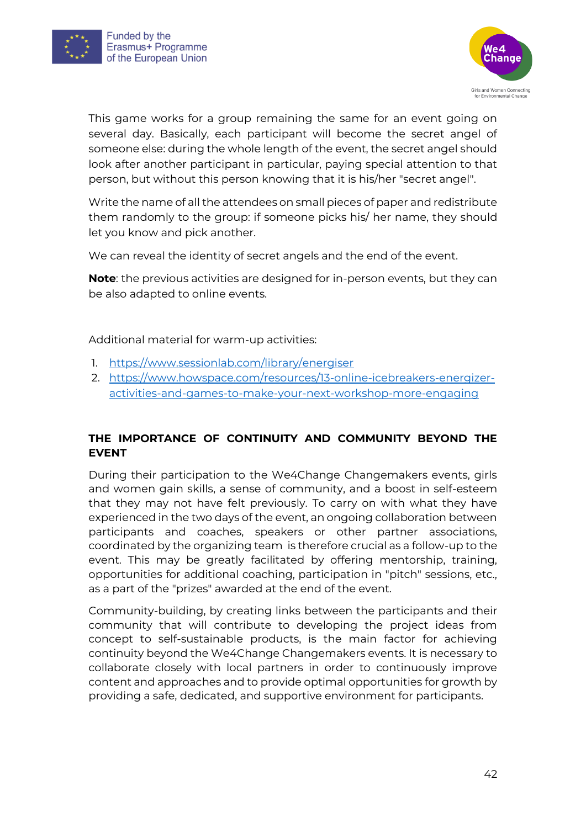



This game works for a group remaining the same for an event going on several day. Basically, each participant will become the secret angel of someone else: during the whole length of the event, the secret angel should look after another participant in particular, paying special attention to that person, but without this person knowing that it is his/her "secret angel".

Write the name of all the attendees on small pieces of paper and redistribute them randomly to the group: if someone picks his/ her name, they should let you know and pick another.

We can reveal the identity of secret angels and the end of the event.

**Note**: the previous activities are designed for in-person events, but they can be also adapted to online events.

Additional material for warm-up activities:

- 1. <https://www.sessionlab.com/library/energiser>
- 2. [https://www.howspace.com/resources/13-online-icebreakers-energizer](https://www.howspace.com/resources/13-online-icebreakers-energizer-activities-and-games-to-make-your-next-workshop-more-engaging)[activities-and-games-to-make-your-next-workshop-more-engaging](https://www.howspace.com/resources/13-online-icebreakers-energizer-activities-and-games-to-make-your-next-workshop-more-engaging)

### **THE IMPORTANCE OF CONTINUITY AND COMMUNITY BEYOND THE EVENT**

During their participation to the We4Change Changemakers events, girls and women gain skills, a sense of community, and a boost in self-esteem that they may not have felt previously. To carry on with what they have experienced in the two days of the event, an ongoing collaboration between participants and coaches, speakers or other partner associations, coordinated by the organizing team is therefore crucial as a follow-up to the event. This may be greatly facilitated by offering mentorship, training, opportunities for additional coaching, participation in "pitch" sessions, etc., as a part of the "prizes" awarded at the end of the event.

Community-building, by creating links between the participants and their community that will contribute to developing the project ideas from concept to self-sustainable products, is the main factor for achieving continuity beyond the We4Change Changemakers events. It is necessary to collaborate closely with local partners in order to continuously improve content and approaches and to provide optimal opportunities for growth by providing a safe, dedicated, and supportive environment for participants.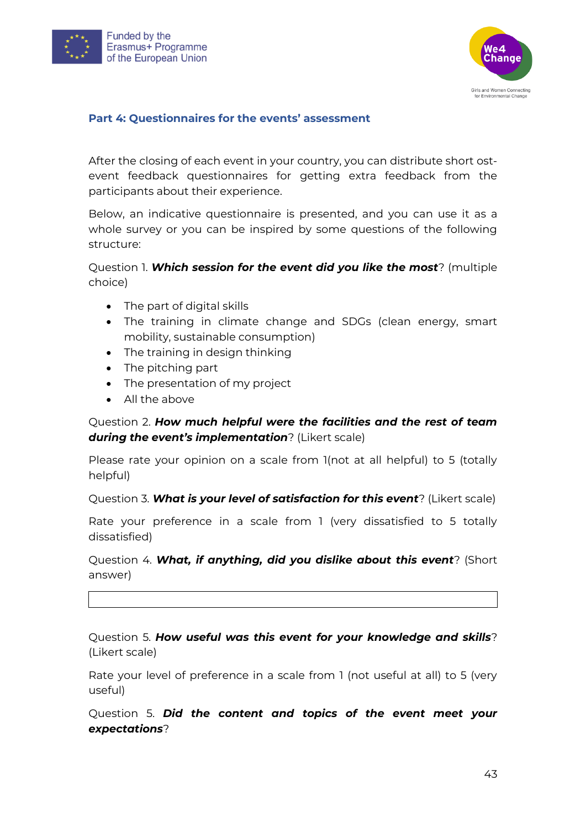



#### <span id="page-42-0"></span>**Part 4: Questionnaires for the events' assessment**

After the closing of each event in your country, you can distribute short ostevent feedback questionnaires for getting extra feedback from the participants about their experience.

Below, an indicative questionnaire is presented, and you can use it as a whole survey or you can be inspired by some questions of the following structure:

Question 1. *Which session for the event did you like the most*? (multiple choice)

- The part of digital skills
- The training in climate change and SDGs (clean energy, smart mobility, sustainable consumption)
- The training in design thinking
- The pitching part
- The presentation of my project
- All the above

Question 2. *How much helpful were the facilities and the rest of team during the event's implementation*? (Likert scale)

Please rate your opinion on a scale from 1(not at all helpful) to 5 (totally helpful)

Question 3. *What is your level of satisfaction for this event*? (Likert scale)

Rate your preference in a scale from 1 (very dissatisfied to 5 totally dissatisfied)

Question 4. *What, if anything, did you dislike about this event*? (Short answer)

Question 5. *How useful was this event for your knowledge and skills*? (Likert scale)

Rate your level of preference in a scale from 1 (not useful at all) to 5 (very useful)

Question 5. *Did the content and topics of the event meet your expectations*?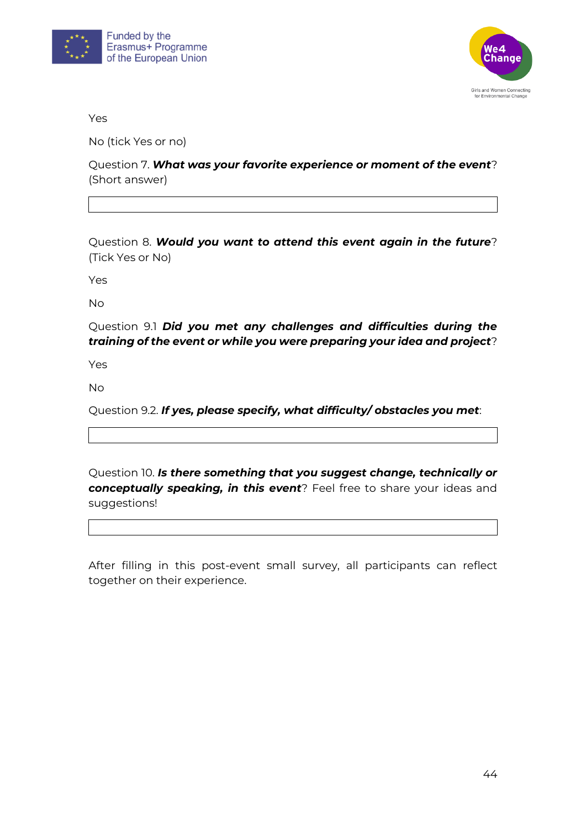



Yes

No (tick Yes or no)

Question 7. *What was your favorite experience or moment of the event*? (Short answer)

Question 8. *Would you want to attend this event again in the future*? (Tick Yes or No)

Yes

No

Question 9.1 *Did you met any challenges and difficulties during the training of the event or while you were preparing your idea and project*?

Yes

No

Question 9.2. *If yes, please specify, what difficulty/ obstacles you met*:

Question 10. *Is there something that you suggest change, technically or conceptually speaking, in this event*? Feel free to share your ideas and suggestions!

After filling in this post-event small survey, all participants can reflect together on their experience.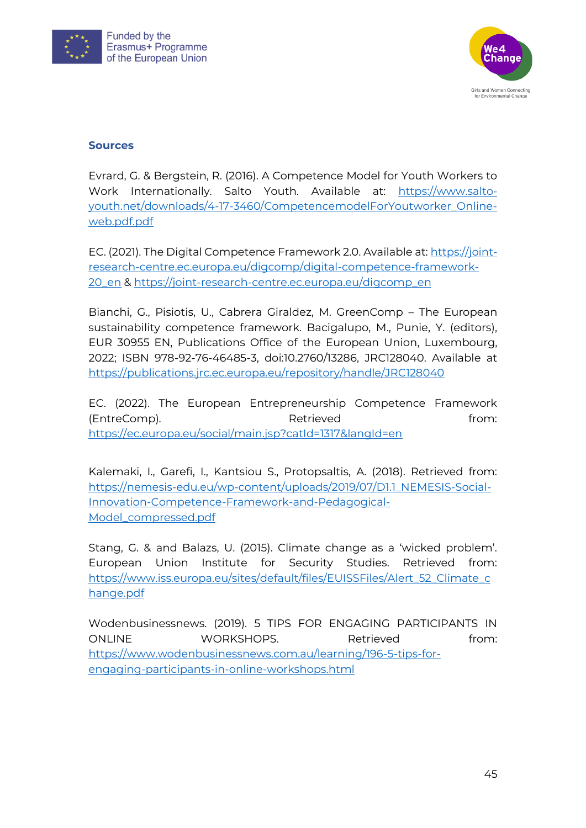



#### <span id="page-44-0"></span>**Sources**

Evrard, G. & Bergstein, R. (2016). A Competence Model for Youth Workers to Work Internationally. Salto Youth. Available at: [https://www.salto](https://www.salto-youth.net/downloads/4-17-3460/CompetencemodelForYoutworker_Online-web.pdf.pdf)[youth.net/downloads/4-17-3460/CompetencemodelForYoutworker\\_Online](https://www.salto-youth.net/downloads/4-17-3460/CompetencemodelForYoutworker_Online-web.pdf.pdf)[web.pdf.pdf](https://www.salto-youth.net/downloads/4-17-3460/CompetencemodelForYoutworker_Online-web.pdf.pdf)

EC. (2021). The Digital Competence Framework 2.0. Available at: [https://joint](https://joint-research-centre.ec.europa.eu/digcomp/digital-competence-framework-20_en)[research-centre.ec.europa.eu/digcomp/digital-competence-framework-](https://joint-research-centre.ec.europa.eu/digcomp/digital-competence-framework-20_en)[20\\_en](https://joint-research-centre.ec.europa.eu/digcomp/digital-competence-framework-20_en) & [https://joint-research-centre.ec.europa.eu/digcomp\\_en](https://joint-research-centre.ec.europa.eu/digcomp_en)

Bianchi, G., Pisiotis, U., Cabrera Giraldez, M. GreenComp – The European sustainability competence framework. Bacigalupo, M., Punie, Y. (editors), EUR 30955 EN, Publications Office of the European Union, Luxembourg, 2022; ISBN 978-92-76-46485-3, doi:10.2760/13286, JRC128040. Available at <https://publications.jrc.ec.europa.eu/repository/handle/JRC128040>

EC. (2022). The European Entrepreneurship Competence Framework (EntreComp). Retrieved Retrieved from: <https://ec.europa.eu/social/main.jsp?catId=1317&langId=en>

Kalemaki, I., Garefi, I., Kantsiou S., Protopsaltis, A. (2018). Retrieved from: [https://nemesis-edu.eu/wp-content/uploads/2019/07/D1.1\\_NEMESIS-Social-](https://nemesis-edu.eu/wp-content/uploads/2019/07/D1.1_NEMESIS-Social-Innovation-Competence-Framework-and-Pedagogical-Model_compressed.pdf)[Innovation-Competence-Framework-and-Pedagogical-](https://nemesis-edu.eu/wp-content/uploads/2019/07/D1.1_NEMESIS-Social-Innovation-Competence-Framework-and-Pedagogical-Model_compressed.pdf)[Model\\_compressed.pdf](https://nemesis-edu.eu/wp-content/uploads/2019/07/D1.1_NEMESIS-Social-Innovation-Competence-Framework-and-Pedagogical-Model_compressed.pdf)

Stang, G. & and Balazs, U. (2015). Climate change as a 'wicked problem'. European Union Institute for Security Studies. Retrieved from: [https://www.iss.europa.eu/sites/default/files/EUISSFiles/Alert\\_52\\_Climate\\_c](https://www.iss.europa.eu/sites/default/files/EUISSFiles/Alert_52_Climate_change.pdf) [hange.pdf](https://www.iss.europa.eu/sites/default/files/EUISSFiles/Alert_52_Climate_change.pdf)

Wodenbusinessnews. (2019). 5 TIPS FOR ENGAGING PARTICIPANTS IN ONLINE WORKSHOPS. Retrieved from: [https://www.wodenbusinessnews.com.au/learning/196-5-tips-for](https://www.wodenbusinessnews.com.au/learning/196-5-tips-for-engaging-participants-in-online-workshops.html)[engaging-participants-in-online-workshops.html](https://www.wodenbusinessnews.com.au/learning/196-5-tips-for-engaging-participants-in-online-workshops.html)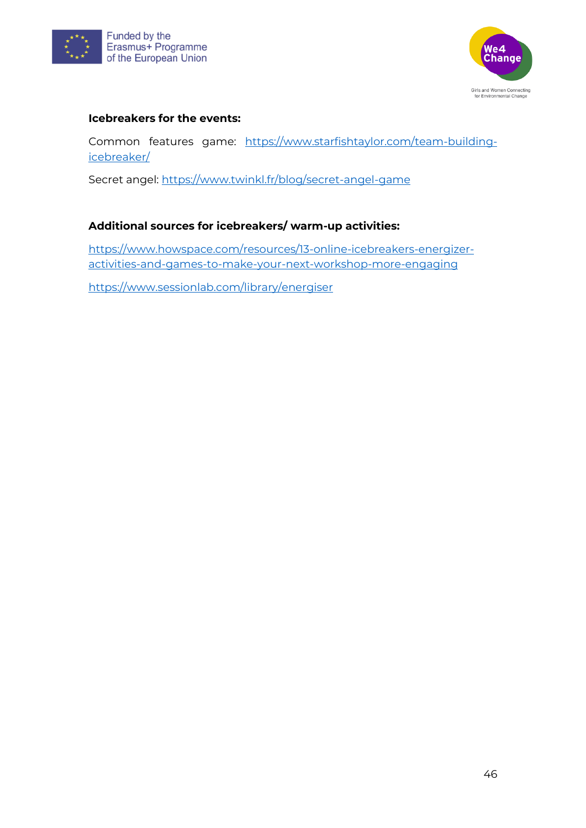



#### **Icebreakers for the events:**

Common features game: [https://www.starfishtaylor.com/team-building](https://www.starfishtaylor.com/team-building-icebreaker/)[icebreaker/](https://www.starfishtaylor.com/team-building-icebreaker/)

Secret angel:<https://www.twinkl.fr/blog/secret-angel-game>

#### **Additional sources for icebreakers/ warm-up activities:**

[https://www.howspace.com/resources/13-online-icebreakers-energizer](https://www.howspace.com/resources/13-online-icebreakers-energizer-activities-and-games-to-make-your-next-workshop-more-engaging)[activities-and-games-to-make-your-next-workshop-more-engaging](https://www.howspace.com/resources/13-online-icebreakers-energizer-activities-and-games-to-make-your-next-workshop-more-engaging)

<https://www.sessionlab.com/library/energiser>